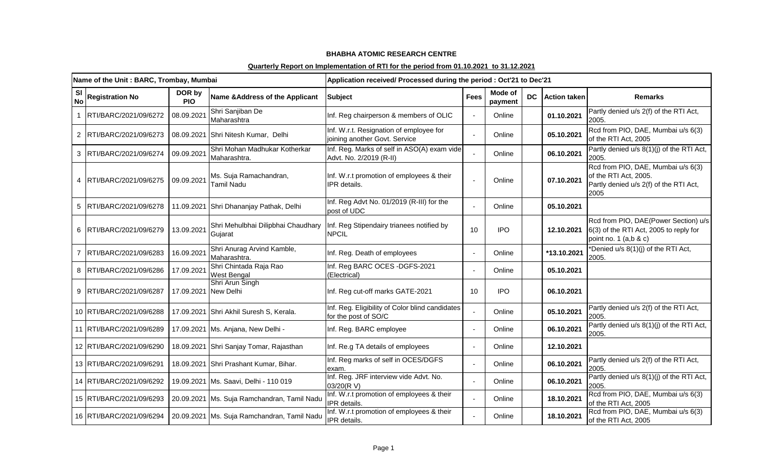|                        | Name of the Unit: BARC, Trombay, Mumbai |                      |                                                                      | Application received/ Processed during the period: Oct'21 to Dec'21      |             |                    |           |                     |                                                                                                               |  |
|------------------------|-----------------------------------------|----------------------|----------------------------------------------------------------------|--------------------------------------------------------------------------|-------------|--------------------|-----------|---------------------|---------------------------------------------------------------------------------------------------------------|--|
| <b>SI</b><br><b>No</b> | <b>Registration No</b>                  | DOR by<br><b>PIO</b> | Name & Address of the Applicant                                      | <b>Subject</b>                                                           | <b>Fees</b> | Mode of<br>payment | <b>DC</b> | <b>Action taken</b> | <b>Remarks</b>                                                                                                |  |
|                        | RTI/BARC/2021/09/6272                   | 08.09.2021           | Shri Sanjiban De<br>Maharashtra                                      | Inf. Reg chairperson & members of OLIC                                   |             | Online             |           | 01.10.2021          | Partly denied u/s 2(f) of the RTI Act,<br>2005.                                                               |  |
| $\overline{2}$         | RTI/BARC/2021/09/6273                   |                      | 08.09.2021 Shri Nitesh Kumar, Delhi                                  | Inf. W.r.t. Resignation of employee for<br>joining another Govt. Service |             | Online             |           | 05.10.2021          | Rcd from PIO, DAE, Mumbai u/s 6(3)<br>of the RTI Act, 2005                                                    |  |
| 3                      | RTI/BARC/2021/09/6274                   | 09.09.2021           | Shri Mohan Madhukar Kotherkar<br>Maharashtra.                        | Inf. Reg. Marks of self in ASO(A) exam vide<br>Advt. No. 2/2019 (R-II)   |             | Online             |           | 06.10.2021          | Partly denied u/s 8(1)(j) of the RTI Act,<br>2005.                                                            |  |
|                        | RTI/BARC/2021/09/6275                   | 09.09.2021           | Ms. Suja Ramachandran,<br>Tamil Nadu                                 | Inf. W.r.t promotion of employees & their<br>IPR details.                |             | Online             |           | 07.10.2021          | Rcd from PIO, DAE, Mumbai u/s 6(3)<br>of the RTI Act, 2005.<br>Partly denied u/s 2(f) of the RTI Act,<br>2005 |  |
| 5                      | RTI/BARC/2021/09/6278                   | 11.09.2021           | Shri Dhananjay Pathak, Delhi                                         | Inf. Reg Advt No. 01/2019 (R-III) for the<br>post of UDC                 |             | Online             |           | 05.10.2021          |                                                                                                               |  |
| 6                      | RTI/BARC/2021/09/6279                   | 13.09.2021           | Shri Mehulbhai Dilipbhai Chaudhary<br>Gujarat                        | Inf. Reg Stipendairy trianees notified by<br><b>NPCIL</b>                | 10          | <b>IPO</b>         |           | 12.10.2021          | Rcd from PIO, DAE(Power Section) u/s<br>6(3) of the RTI Act, 2005 to reply for<br>point no. 1 (a,b & c)       |  |
|                        | RTI/BARC/2021/09/6283                   | 16.09.2021           | Shri Anurag Arvind Kamble,<br>Maharashtra.                           | Inf. Reg. Death of employees                                             |             | Online             |           | *13.10.2021         | *Denied u/s 8(1)(j) of the RTI Act,<br>2005.                                                                  |  |
| 8                      | RTI/BARC/2021/09/6286                   | 17.09.2021           | Shri Chintada Raja Rao<br>West Bengal                                | Inf. Reg BARC OCES - DGFS-2021<br>(Electrical)                           |             | Online             |           | 05.10.2021          |                                                                                                               |  |
| 9                      | RTI/BARC/2021/09/6287                   | 17.09.2021           | Shri Arun Singh<br>New Delhi                                         | Inf. Reg cut-off marks GATE-2021                                         | 10          | <b>IPO</b>         |           | 06.10.2021          |                                                                                                               |  |
|                        | 10 RTI/BARC/2021/09/6288                |                      | 17.09.2021 Shri Akhil Suresh S, Kerala.                              | Inf. Reg. Eligibility of Color blind candidates<br>for the post of SO/C  |             | Online             |           | 05.10.2021          | Partly denied u/s 2(f) of the RTI Act,<br>2005.                                                               |  |
|                        | 11 RTI/BARC/2021/09/6289                |                      | 17.09.2021 Ms. Anjana, New Delhi -                                   | Inf. Reg. BARC employee                                                  |             | Online             |           | 06.10.2021          | Partly denied u/s 8(1)(j) of the RTI Act,<br>2005.                                                            |  |
|                        | 12 RTI/BARC/2021/09/6290                |                      | 18.09.2021 Shri Sanjay Tomar, Rajasthan                              | Inf. Re.g TA details of employees                                        |             | Online             |           | 12.10.2021          |                                                                                                               |  |
|                        | 13 RTI/BARC/2021/09/6291                |                      | 18.09.2021 Shri Prashant Kumar, Bihar.                               | Inf. Reg marks of self in OCES/DGFS<br>exam.                             |             | Online             |           | 06.10.2021          | Partly denied u/s 2(f) of the RTI Act,<br>2005.                                                               |  |
|                        | 14 RTI/BARC/2021/09/6292                |                      | 19.09.2021 Ms. Saavi, Delhi - 110 019                                | Inf. Reg. JRF interview vide Advt. No.<br>03/20(RV)                      |             | Online             |           | 06.10.2021          | Partly denied u/s 8(1)(j) of the RTI Act,<br>2005.                                                            |  |
|                        | 15   RTI/BARC/2021/09/6293              |                      | 20.09.2021   Ms. Suja Ramchandran, Tamil Nadu                        | Inf. W.r.t promotion of employees & their<br>IPR details.                |             | Online             |           | 18.10.2021          | Rcd from PIO, DAE, Mumbai u/s 6(3)<br>of the RTI Act, 2005                                                    |  |
|                        |                                         |                      | 16 RTI/BARC/2021/09/6294 20.09.2021 Ms. Suja Ramchandran, Tamil Nadu | Inf. W.r.t promotion of employees & their<br>IPR details.                |             | Online             |           | 18.10.2021          | Rcd from PIO, DAE, Mumbai u/s 6(3)<br>of the RTI Act, 2005                                                    |  |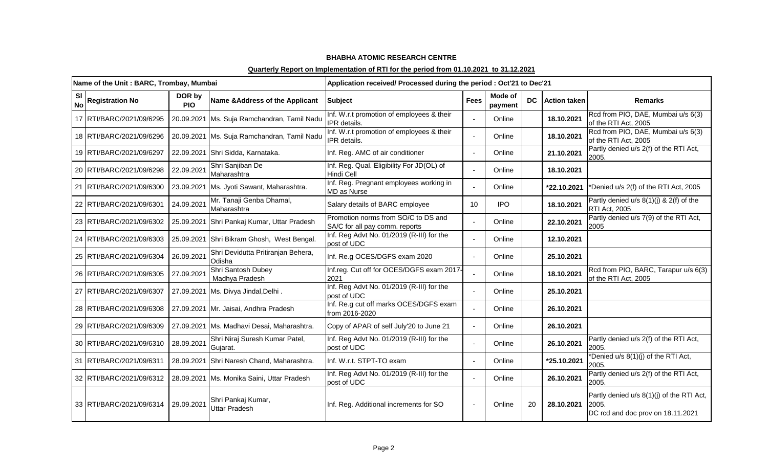|                        | Name of the Unit: BARC, Trombay, Mumbai |                      |                                               | Application received/ Processed during the period : Oct'21 to Dec'21  |                 |                    |     |                     |                                                                                         |  |
|------------------------|-----------------------------------------|----------------------|-----------------------------------------------|-----------------------------------------------------------------------|-----------------|--------------------|-----|---------------------|-----------------------------------------------------------------------------------------|--|
| <b>SI</b><br><b>No</b> | <b>Registration No</b>                  | DOR by<br><b>PIO</b> | Name & Address of the Applicant               | <b>Subject</b>                                                        | <b>Fees</b>     | Mode of<br>payment | DC. | <b>Action taken</b> | <b>Remarks</b>                                                                          |  |
|                        | 17 RTI/BARC/2021/09/6295                |                      | 20.09.2021   Ms. Suja Ramchandran, Tamil Nadu | Inf. W.r.t promotion of employees & their<br>IPR details.             |                 | Online             |     | 18.10.2021          | Rcd from PIO, DAE, Mumbai u/s 6(3)<br>of the RTI Act, 2005                              |  |
|                        | 18 RTI/BARC/2021/09/6296                |                      | 20.09.2021 Ms. Suja Ramchandran, Tamil Nadu   | Inf. W.r.t promotion of employees & their<br>IPR details.             |                 | Online             |     | 18.10.2021          | Rcd from PIO, DAE, Mumbai u/s 6(3)<br>of the RTI Act, 2005                              |  |
|                        | 19 RTI/BARC/2021/09/6297                |                      | 22.09.2021 Shri Sidda, Karnataka.             | Inf. Reg. AMC of air conditioner                                      |                 | Online             |     | 21.10.2021          | Partly denied u/s 2(f) of the RTI Act,<br>2005.                                         |  |
|                        | 20 RTI/BARC/2021/09/6298                | 22.09.2021           | Shri Sanjiban De<br>Maharashtra               | Inf. Reg. Qual. Eligibility For JD(OL) of<br><b>Hindi Cell</b>        |                 | Online             |     | 18.10.2021          |                                                                                         |  |
|                        | 21 RTI/BARC/2021/09/6300                |                      | 23.09.2021   Ms. Jyoti Sawant, Maharashtra.   | Inf. Reg. Pregnant employees working in<br>MD as Nurse                |                 | Online             |     | *22.10.2021         | *Denied u/s 2(f) of the RTI Act, 2005                                                   |  |
|                        | 22 RTI/BARC/2021/09/6301                | 24.09.2021           | Mr. Tanaji Genba Dhamal,<br>Maharashtra       | Salary details of BARC employee                                       | 10 <sup>1</sup> | <b>IPO</b>         |     | 18.10.2021          | Partly denied u/s $8(1)(j)$ & 2(f) of the<br><b>RTI Act, 2005</b>                       |  |
|                        | 23 RTI/BARC/2021/09/6302                |                      | 25.09.2021 Shri Pankaj Kumar, Uttar Pradesh   | Promotion norms from SO/C to DS and<br>SA/C for all pay comm. reports |                 | Online             |     | 22.10.2021          | Partly denied u/s 7(9) of the RTI Act,<br>2005                                          |  |
|                        | 24 RTI/BARC/2021/09/6303                |                      | 25.09.2021 Shri Bikram Ghosh, West Bengal.    | Inf. Reg Advt No. 01/2019 (R-III) for the<br>post of UDC              |                 | Online             |     | 12.10.2021          |                                                                                         |  |
|                        | 25 RTI/BARC/2021/09/6304                | 26.09.2021           | Shri Devidutta Pritiranjan Behera,<br>Odisha  | Inf. Re.g OCES/DGFS exam 2020                                         |                 | Online             |     | 25.10.2021          |                                                                                         |  |
|                        | 26 RTI/BARC/2021/09/6305                | 27.09.2021           | Shri Santosh Dubey<br>Madhya Pradesh          | Inf.reg. Cut off for OCES/DGFS exam 2017-<br>2021                     |                 | Online             |     | 18.10.2021          | Rcd from PIO, BARC, Tarapur u/s 6(3)<br>of the RTI Act, 2005                            |  |
|                        | 27 RTI/BARC/2021/09/6307                |                      | 27.09.2021 Ms. Divya Jindal, Delhi.           | Inf. Reg Advt No. 01/2019 (R-III) for the<br>post of UDC              |                 | Online             |     | 25.10.2021          |                                                                                         |  |
|                        | 28 RTI/BARC/2021/09/6308                |                      | 27.09.2021 Mr. Jaisai, Andhra Pradesh         | Inf. Re.g cut off marks OCES/DGFS exam<br>from 2016-2020              |                 | Online             |     | 26.10.2021          |                                                                                         |  |
|                        | 29 RTI/BARC/2021/09/6309                |                      | 27.09.2021 Ms. Madhavi Desai, Maharashtra.    | Copy of APAR of self July'20 to June 21                               |                 | Online             |     | 26.10.2021          |                                                                                         |  |
|                        | 30 RTI/BARC/2021/09/6310                | 28.09.2021           | Shri Niraj Suresh Kumar Patel,<br>Guiarat.    | Inf. Reg Advt No. 01/2019 (R-III) for the<br>post of UDC              |                 | Online             |     | 26.10.2021          | Partly denied u/s 2(f) of the RTI Act,<br>2005.                                         |  |
|                        | 31 RTI/BARC/2021/09/6311                |                      | 28.09.2021 Shri Naresh Chand, Maharashtra.    | Inf. W.r.t. STPT-TO exam                                              |                 | Online             |     | *25.10.2021         | *Denied u/s 8(1)(j) of the RTI Act,<br>2005.                                            |  |
|                        | 32 RTI/BARC/2021/09/6312                |                      | 28.09.2021   Ms. Monika Saini, Uttar Pradesh  | Inf. Reg Advt No. 01/2019 (R-III) for the<br>post of UDC              |                 | Online             |     | 26.10.2021          | Partly denied u/s 2(f) of the RTI Act,<br>2005.                                         |  |
|                        | 33 RTI/BARC/2021/09/6314                | 29.09.2021           | Shri Pankaj Kumar,<br><b>Uttar Pradesh</b>    | Inf. Reg. Additional increments for SO                                |                 | Online             | 20  | 28.10.2021          | Partly denied u/s 8(1)(j) of the RTI Act,<br>2005.<br>DC rcd and doc prov on 18.11.2021 |  |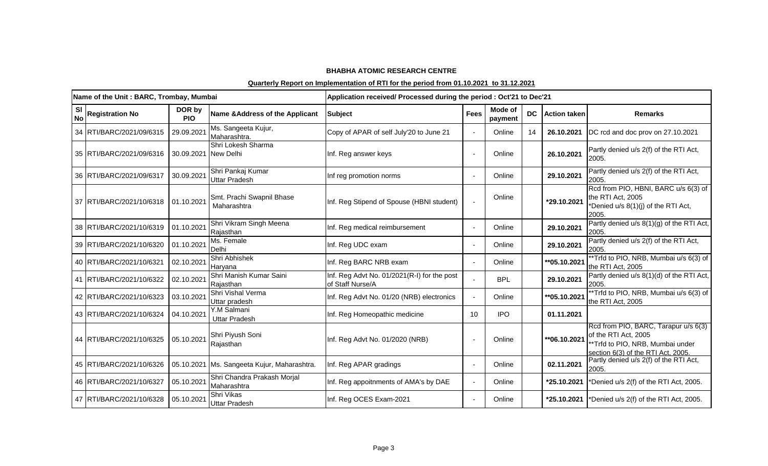|                        | Name of the Unit: BARC, Trombay, Mumbai |                      |                                             | Application received/ Processed during the period : Oct'21 to Dec'21 |             |                    |           |                     |                                                                                                                                        |
|------------------------|-----------------------------------------|----------------------|---------------------------------------------|----------------------------------------------------------------------|-------------|--------------------|-----------|---------------------|----------------------------------------------------------------------------------------------------------------------------------------|
| <b>SI</b><br><b>No</b> | <b>Registration No</b>                  | DOR by<br><b>PIO</b> | Name & Address of the Applicant             | <b>Subject</b>                                                       | <b>Fees</b> | Mode of<br>payment | <b>DC</b> | <b>Action taken</b> | <b>Remarks</b>                                                                                                                         |
|                        | 34 RTI/BARC/2021/09/6315                | 29.09.2021           | Ms. Sangeeta Kujur,<br>Maharashtra.         | Copy of APAR of self July'20 to June 21                              |             | Online             | 14        | 26.10.2021          | DC rcd and doc prov on 27.10.2021                                                                                                      |
|                        | 35 RTI/BARC/2021/09/6316                | 30.09.2021 New Delhi | Shri Lokesh Sharma                          | Inf. Reg answer keys                                                 |             | Online             |           | 26.10.2021          | Partly denied u/s 2(f) of the RTI Act,<br>2005.                                                                                        |
|                        | 36 RTI/BARC/2021/09/6317                | 30.09.2021           | Shri Pankaj Kumar<br><b>Uttar Pradesh</b>   | Inf reg promotion norms                                              |             | Online             |           | 29.10.2021          | Partly denied u/s 2(f) of the RTI Act,<br>2005.                                                                                        |
|                        | 37 RTI/BARC/2021/10/6318                | 01.10.2021           | Smt. Prachi Swapnil Bhase<br>Maharashtra    | Inf. Reg Stipend of Spouse (HBNI student)                            |             | Online             |           | *29.10.2021         | Rcd from PIO, HBNI, BARC u/s 6(3) of<br>the RTI Act, 2005<br>*Denied u/s 8(1)(j) of the RTI Act,<br>2005.                              |
|                        | 38 RTI/BARC/2021/10/6319                | 01.10.2021           | Shri Vikram Singh Meena<br>Rajasthan        | Inf. Reg medical reimbursement                                       |             | Online             |           | 29.10.2021          | Partly denied u/s 8(1)(g) of the RTI Act,<br>2005.                                                                                     |
|                        | 39 RTI/BARC/2021/10/6320                | 01.10.2021           | Ms. Female<br>Delhi                         | Inf. Reg UDC exam                                                    |             | Online             |           | 29.10.2021          | Partly denied u/s 2(f) of the RTI Act,<br>2005.                                                                                        |
|                        | 40 RTI/BARC/2021/10/6321                | 02.10.2021           | Shri Abhishek<br>Haryana                    | Inf. Reg BARC NRB exam                                               |             | Online             |           | **05.10.2021        | **Trfd to PIO, NRB, Mumbai u/s 6(3) of<br>the RTI Act, 2005                                                                            |
|                        | 41   RTI/BARC/2021/10/6322              | 02.10.2021           | Shri Manish Kumar Saini<br>Rajasthan        | Inf. Reg Advt No. 01/2021(R-I) for the post<br>of Staff Nurse/A      |             | <b>BPL</b>         |           | 29.10.2021          | Partly denied u/s 8(1)(d) of the RTI Act,<br>2005.                                                                                     |
|                        | 42 RTI/BARC/2021/10/6323                | 03.10.2021           | Shri Vishal Verma<br>Uttar pradesh          | Inf. Reg Advt No. 01/20 (NRB) electronics                            |             | Online             |           | **05.10.2021        | **Trfd to PIO, NRB, Mumbai u/s 6(3) of<br>the RTI Act, 2005                                                                            |
|                        | 43 RTI/BARC/2021/10/6324                | 04.10.2021           | Y.M Salmani<br><b>Uttar Pradesh</b>         | Inf. Reg Homeopathic medicine                                        | 10          | <b>IPO</b>         |           | 01.11.2021          |                                                                                                                                        |
|                        | 44 RTI/BARC/2021/10/6325                | 05.10.2021           | Shri Piyush Soni<br>Rajasthan               | Inf. Reg Advt No. 01/2020 (NRB)                                      |             | Online             |           | **06.10.2021        | Rcd from PIO, BARC, Tarapur u/s 6(3)<br>of the RTI Act, 2005<br>**Trfd to PIO, NRB, Mumbai under<br>section 6(3) of the RTI Act, 2005. |
|                        | 45 RTI/BARC/2021/10/6326                |                      | 05.10.2021 Ms. Sangeeta Kujur, Maharashtra. | Inf. Reg APAR gradings                                               |             | Online             |           | 02.11.2021          | Partly denied u/s 2(f) of the RTI Act,<br>2005.                                                                                        |
|                        | 46 RTI/BARC/2021/10/6327                | 05.10.2021           | Shri Chandra Prakash Morjal<br>Maharashtra  | Inf. Reg appoitnments of AMA's by DAE                                | $\sim$      | Online             |           | *25.10.2021         | *Denied u/s 2(f) of the RTI Act, 2005.                                                                                                 |
|                        | 47 RTI/BARC/2021/10/6328                | 05.10.2021           | Shri Vikas<br><b>Uttar Pradesh</b>          | Inf. Reg OCES Exam-2021                                              |             | Online             |           | *25.10.2021         | *Denied u/s 2(f) of the RTI Act, 2005.                                                                                                 |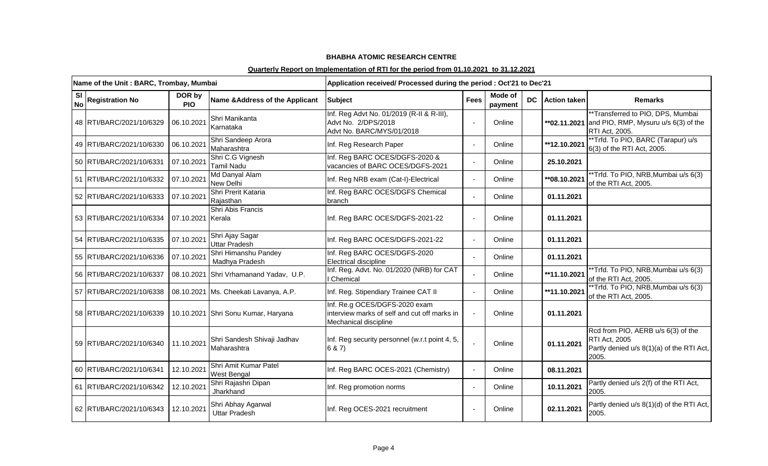|    | Name of the Unit: BARC, Trombay, Mumbai |                      |                                             | Application received/ Processed during the period : Oct'21 to Dec'21                                   |             |                    |           |                     |                                                                                                             |
|----|-----------------------------------------|----------------------|---------------------------------------------|--------------------------------------------------------------------------------------------------------|-------------|--------------------|-----------|---------------------|-------------------------------------------------------------------------------------------------------------|
| SI | No Registration No                      | DOR by<br><b>PIO</b> | Name & Address of the Applicant             | <b>Subject</b>                                                                                         | <b>Fees</b> | Mode of<br>payment | <b>DC</b> | <b>Action taken</b> | <b>Remarks</b>                                                                                              |
|    | 48 RTI/BARC/2021/10/6329                | 06.10.2021           | Shri Manikanta<br>Karnataka                 | Inf. Reg Advt No. 01/2019 (R-II & R-III),<br>Advt No. 2/DPS/2018<br>Advt No. BARC/MYS/01/2018          |             | Online             |           |                     | **Transferred to PIO, DPS, Mumbai<br>** $02.11.2021$ and PIO, RMP, Mysuru u/s 6(3) of the<br>RTI Act, 2005. |
|    | 49 RTI/BARC/2021/10/6330                | 06.10.2021           | Shri Sandeep Arora<br>Maharashtra           | Inf. Reg Research Paper                                                                                |             | Online             |           | **12.10.2021        | **Trfd. To PIO, BARC (Tarapur) u/s<br>6(3) of the RTI Act, 2005.                                            |
|    | 50 RTI/BARC/2021/10/6331                | 07.10.2021           | Shri C.G Vignesh<br><b>Tamil Nadu</b>       | Inf. Reg BARC OCES/DGFS-2020 &<br>vacancies of BARC OCES/DGFS-2021                                     |             | Online             |           | 25.10.2021          |                                                                                                             |
|    | 51 RTI/BARC/2021/10/6332                | 07.10.2021           | Md Danyal Alam<br>New Delhi                 | Inf. Reg NRB exam (Cat-I)-Electrical                                                                   |             | Online             |           | **08.10.2021        | *Trfd. To PIO, NRB, Mumbai u/s 6(3)<br>of the RTI Act, 2005.                                                |
|    | 52 RTI/BARC/2021/10/6333                | 07.10.2021           | Shri Prerit Kataria<br>Rajasthan            | Inf. Reg BARC OCES/DGFS Chemical<br>branch                                                             |             | Online             |           | 01.11.2021          |                                                                                                             |
|    | 53 RTI/BARC/2021/10/6334                | 07.10.2021 Kerala    | Shri Abis Francis                           | Inf. Reg BARC OCES/DGFS-2021-22                                                                        |             | Online             |           | 01.11.2021          |                                                                                                             |
|    | 54 RTI/BARC/2021/10/6335                | 07.10.2021           | Shri Ajay Sagar<br><b>Uttar Pradesh</b>     | Inf. Reg BARC OCES/DGFS-2021-22                                                                        |             | Online             |           | 01.11.2021          |                                                                                                             |
|    | 55 RTI/BARC/2021/10/6336                | 07.10.2021           | Shri Himanshu Pandey<br>Madhya Pradesh      | Inf. Reg BARC OCES/DGFS-2020<br>Electrical discipline                                                  |             | Online             |           | 01.11.2021          |                                                                                                             |
|    | 56 RTI/BARC/2021/10/6337                |                      | 08.10.2021 Shri Vrhamanand Yadav, U.P.      | Inf. Reg. Advt. No. 01/2020 (NRB) for CAT<br>Chemical                                                  |             | Online             |           | **11.10.2021        | **Trfd. To PIO, NRB, Mumbai u/s 6(3)<br>of the RTI Act, 2005.                                               |
|    | 57 RTI/BARC/2021/10/6338                |                      | 08.10.2021 Ms. Cheekati Lavanya, A.P.       | Inf. Reg. Stipendiary Trainee CAT II                                                                   |             | Online             |           | **11.10.2021        | **Trfd. To PIO, NRB, Mumbai u/s 6(3)<br>of the RTI Act, 2005.                                               |
|    | 58 RTI/BARC/2021/10/6339                |                      | 10.10.2021 Shri Sonu Kumar, Haryana         | Inf. Re.g OCES/DGFS-2020 exam<br>interview marks of self and cut off marks in<br>Mechanical discipline |             | Online             |           | 01.11.2021          |                                                                                                             |
|    | 59 RTI/BARC/2021/10/6340                | 11.10.2021           | Shri Sandesh Shivaji Jadhav<br>Maharashtra  | Inf. Reg security personnel (w.r.t point 4, 5,<br>6 & 7)                                               |             | Online             |           | 01.11.2021          | Rcd from PIO, AERB u/s 6(3) of the<br>RTI Act, 2005<br>Partly denied u/s 8(1)(a) of the RTI Act,<br>2005.   |
|    | 60 RTI/BARC/2021/10/6341                | 12.10.2021           | Shri Amit Kumar Patel<br><b>West Bengal</b> | Inf. Reg BARC OCES-2021 (Chemistry)                                                                    |             | Online             |           | 08.11.2021          |                                                                                                             |
|    | 61 RTI/BARC/2021/10/6342                | 12.10.2021           | Shri Rajashri Dipan<br>Jharkhand            | Inf. Reg promotion norms                                                                               |             | Online             |           | 10.11.2021          | Partly denied u/s 2(f) of the RTI Act,<br>2005.                                                             |
|    | 62 RTI/BARC/2021/10/6343                | 12.10.2021           | Shri Abhay Agarwal<br><b>Uttar Pradesh</b>  | Inf. Reg OCES-2021 recruitment                                                                         |             | Online             |           | 02.11.2021          | Partly denied u/s 8(1)(d) of the RTI Act,<br>2005.                                                          |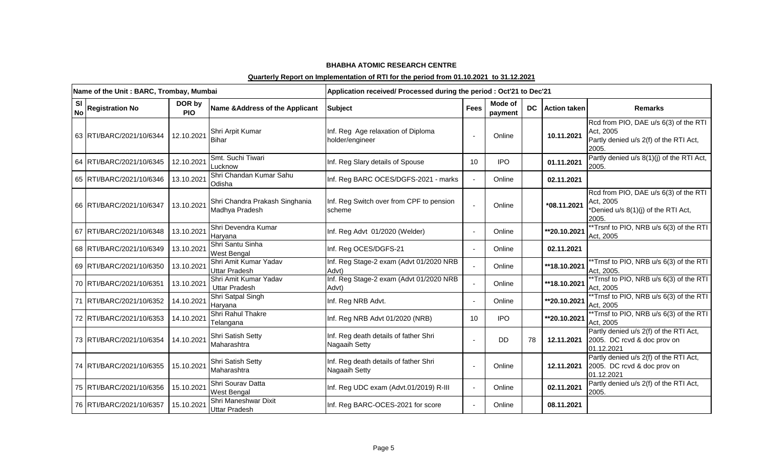|                        | Name of the Unit: BARC, Trombay, Mumbai |                      |                                                  | Application received/ Processed during the period : Oct'21 to Dec'21 |             |                    |           |                     |                                                                                                       |
|------------------------|-----------------------------------------|----------------------|--------------------------------------------------|----------------------------------------------------------------------|-------------|--------------------|-----------|---------------------|-------------------------------------------------------------------------------------------------------|
| <b>SI</b><br><b>No</b> | <b>Registration No</b>                  | DOR by<br><b>PIO</b> | Name & Address of the Applicant                  | Subject                                                              | <b>Fees</b> | Mode of<br>payment | <b>DC</b> | <b>Action taken</b> | <b>Remarks</b>                                                                                        |
|                        | 63 RTI/BARC/2021/10/6344                | 12.10.2021           | Shri Arpit Kumar<br><b>Bihar</b>                 | Inf. Reg Age relaxation of Diploma<br>holder/engineer                |             | Online             |           | 10.11.2021          | Rcd from PIO, DAE u/s 6(3) of the RTI<br>Act. 2005<br>Partly denied u/s 2(f) of the RTI Act,<br>2005. |
|                        | 64 RTI/BARC/2021/10/6345                | 12.10.2021           | Smt. Suchi Tiwari<br>Lucknow                     | Inf. Reg Slary details of Spouse                                     | 10          | <b>IPO</b>         |           | 01.11.2021          | Partly denied u/s 8(1)(j) of the RTI Act,<br>2005.                                                    |
|                        | 65 RTI/BARC/2021/10/6346                | 13.10.2021           | Shri Chandan Kumar Sahu<br>Odisha                | Inf. Reg BARC OCES/DGFS-2021 - marks                                 | $\sim$      | Online             |           | 02.11.2021          |                                                                                                       |
|                        | 66 RTI/BARC/2021/10/6347                | 13.10.2021           | Shri Chandra Prakash Singhania<br>Madhya Pradesh | Inf. Reg Switch over from CPF to pension<br>scheme                   |             | Online             |           | *08.11.2021         | Rcd from PIO, DAE u/s 6(3) of the RTI<br>Act, 2005<br>*Denied u/s 8(1)(j) of the RTI Act,<br>2005.    |
|                        | 67 RTI/BARC/2021/10/6348                | 13.10.2021           | Shri Devendra Kumar<br>Haryana                   | Inf. Reg Advt 01/2020 (Welder)                                       |             | Online             |           | **20.10.2021        | *Trsnf to PIO, NRB u/s 6(3) of the RTI<br>Act, 2005                                                   |
|                        | 68 RTI/BARC/2021/10/6349                | 13.10.2021           | Shri Santu Sinha<br><b>West Bengal</b>           | Inf. Reg OCES/DGFS-21                                                |             | Online             |           | 02.11.2021          |                                                                                                       |
|                        | 69 RTI/BARC/2021/10/6350                | 13.10.2021           | Shri Amit Kumar Yadav<br>Uttar Pradesh           | Inf. Reg Stage-2 exam (Advt 01/2020 NRB<br>Advt)                     |             | Online             |           | **18.10.2021        | **Trnsf to PIO, NRB u/s 6(3) of the RTI<br>Act, 2005.                                                 |
|                        | 70 RTI/BARC/2021/10/6351                | 13.10.2021           | Shri Amit Kumar Yadav<br><b>Uttar Pradesh</b>    | Inf. Reg Stage-2 exam (Advt 01/2020 NRB<br>Advt)                     |             | Online             |           | **18.10.2021        | *Trnsf to PIO, NRB u/s 6(3) of the RTI<br>Act, 2005                                                   |
|                        | 71   RTI/BARC/2021/10/6352              | 14.10.2021           | Shri Satpal Singh<br>Haryana                     | Inf. Reg NRB Advt.                                                   |             | Online             |           | **20.10.2021        | *Trnsf to PIO, NRB u/s 6(3) of the RTI<br>Act, 2005                                                   |
|                        | 72 RTI/BARC/2021/10/6353                | 14.10.2021           | Shri Rahul Thakre<br>Telangana                   | Inf. Reg NRB Advt 01/2020 (NRB)                                      | 10          | <b>IPO</b>         |           | **20.10.2021        | *Trnsf to PIO, NRB u/s 6(3) of the RTI<br>Act, 2005                                                   |
|                        | 73 RTI/BARC/2021/10/6354                | 14.10.2021           | Shri Satish Setty<br>Maharashtra                 | Inf. Reg death details of father Shri<br>Nagaaih Setty               |             | <b>DD</b>          | 78        | 12.11.2021          | Partly denied u/s 2(f) of the RTI Act,<br>2005. DC rcvd & doc prov on<br>01.12.2021                   |
|                        | 74 RTI/BARC/2021/10/6355                | 15.10.2021           | Shri Satish Setty<br>Maharashtra                 | Inf. Reg death details of father Shri<br>Nagaaih Setty               |             | Online             |           | 12.11.2021          | Partly denied u/s 2(f) of the RTI Act,<br>2005. DC rcvd & doc prov on<br>01.12.2021                   |
|                        | 75 RTI/BARC/2021/10/6356                | 15.10.2021           | Shri Sourav Datta<br>West Bengal                 | Inf. Reg UDC exam (Advt.01/2019) R-III                               |             | Online             |           | 02.11.2021          | Partly denied u/s 2(f) of the RTI Act,<br>2005.                                                       |
|                        | 76 RTI/BARC/2021/10/6357                | 15.10.2021           | Shri Maneshwar Dixit<br>Uttar Pradesh            | Inf. Reg BARC-OCES-2021 for score                                    |             | Online             |           | 08.11.2021          |                                                                                                       |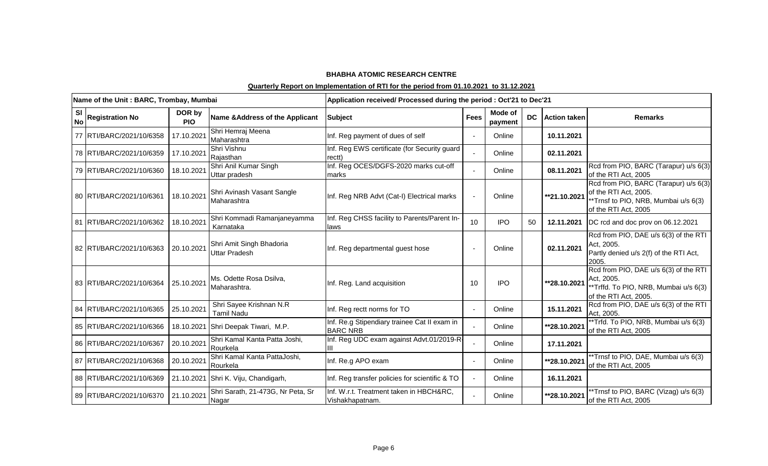|                            | Name of the Unit: BARC, Trombay, Mumbai |                                                  | Application received/ Processed during the period : Oct'21 to Dec'21 |             |                    |           |                     |                                                                                                                                |
|----------------------------|-----------------------------------------|--------------------------------------------------|----------------------------------------------------------------------|-------------|--------------------|-----------|---------------------|--------------------------------------------------------------------------------------------------------------------------------|
| $\vert$ No Registration No | DOR by<br><b>PIO</b>                    | Name & Address of the Applicant                  | <b>Subject</b>                                                       | <b>Fees</b> | Mode of<br>payment | <b>DC</b> | <b>Action taken</b> | <b>Remarks</b>                                                                                                                 |
| 77   RTI/BARC/2021/10/6358 | 17.10.2021                              | Shri Hemraj Meena<br>Maharashtra                 | Inf. Reg payment of dues of self                                     |             | Online             |           | 10.11.2021          |                                                                                                                                |
| 78 RTI/BARC/2021/10/6359   | 17.10.2021                              | Shri Vishnu<br>Rajasthan                         | Inf. Reg EWS certificate (for Security guard<br>rectt)               |             | Online             |           | 02.11.2021          |                                                                                                                                |
| 79 RTI/BARC/2021/10/6360   | 18.10.2021                              | Shri Anil Kumar Singh<br>Uttar pradesh           | Inf. Reg OCES/DGFS-2020 marks cut-off<br>marks                       |             | Online             |           | 08.11.2021          | Rcd from PIO, BARC (Tarapur) u/s 6(3)<br>of the RTI Act, 2005                                                                  |
| 80 RTI/BARC/2021/10/6361   | 18.10.2021                              | Shri Avinash Vasant Sangle<br>Maharashtra        | Inf. Reg NRB Advt (Cat-I) Electrical marks                           |             | Online             |           | **21.10.2021        | Rcd from PIO, BARC (Tarapur) u/s 6(3)<br>of the RTI Act, 2005.<br>**Trnsf to PIO, NRB, Mumbai u/s 6(3)<br>of the RTI Act, 2005 |
| 81 RTI/BARC/2021/10/6362   | 18.10.2021                              | Shri Kommadi Ramanjaneyamma<br>Karnataka         | Inf. Reg CHSS facility to Parents/Parent In-<br>laws                 | 10          | <b>IPO</b>         | 50        | 12.11.2021          | DC rcd and doc prov on 06.12.2021                                                                                              |
| 82 RTI/BARC/2021/10/6363   | 20.10.2021                              | Shri Amit Singh Bhadoria<br><b>Uttar Pradesh</b> | Inf. Reg departmental guest hose                                     |             | Online             |           | 02.11.2021          | Rcd from PIO, DAE u/s 6(3) of the RTI<br>Act, 2005.<br>Partly denied u/s 2(f) of the RTI Act,<br>2005.                         |
| 83 RTI/BARC/2021/10/6364   | 25.10.2021                              | Ms. Odette Rosa Dsilva,<br>Maharashtra.          | Inf. Reg. Land acquisition                                           | 10          | <b>IPO</b>         |           | **28.10.2021        | Rcd from PIO, DAE u/s 6(3) of the RTI<br>Act, 2005.<br>*Trffd. To PIO, NRB, Mumbai u/s 6(3)<br>of the RTI Act, 2005.           |
| 84 RTI/BARC/2021/10/6365   | 25.10.2021                              | Shri Sayee Krishnan N.R<br><b>Tamil Nadu</b>     | Inf. Reg rectt norms for TO                                          |             | Online             |           | 15.11.2021          | Rcd from PIO, DAE u/s 6(3) of the RTI<br>Act, 2005.                                                                            |
| 85 RTI/BARC/2021/10/6366   |                                         | 18.10.2021 Shri Deepak Tiwari, M.P.              | Inf. Re.g Stipendiary trainee Cat II exam in<br><b>BARC NRB</b>      |             | Online             |           | **28.10.2021        | **Trfd. To PIO, NRB, Mumbai u/s 6(3)<br>of the RTI Act, 2005                                                                   |
| 86 RTI/BARC/2021/10/6367   | 20.10.2021                              | Shri Kamal Kanta Patta Joshi,<br>Rourkela        | Inf. Reg UDC exam against Advt.01/2019-R-                            |             | Online             |           | 17.11.2021          |                                                                                                                                |
| 87 RTI/BARC/2021/10/6368   | 20.10.2021                              | Shri Kamal Kanta PattaJoshi,<br>Rourkela         | Inf. Re.g APO exam                                                   |             | Online             |           | **28.10.2021        | *Trnsf to PIO, DAE, Mumbai u/s 6(3)<br>of the RTI Act, 2005                                                                    |
| 88 RTI/BARC/2021/10/6369   |                                         | 21.10.2021 Shri K. Viju, Chandigarh,             | Inf. Reg transfer policies for scientific & TO                       |             | Online             |           | 16.11.2021          |                                                                                                                                |
| 89 RTI/BARC/2021/10/6370   | 21.10.2021                              | Shri Sarath, 21-473G, Nr Peta, Sr<br>Nagar       | Inf. W.r.t. Treatment taken in HBCH&RC,<br>Vishakhapatnam.           |             | Online             |           | **28.10.2021        | *Trnsf to PIO, BARC (Vizag) u/s 6(3)<br>of the RTI Act, 2005                                                                   |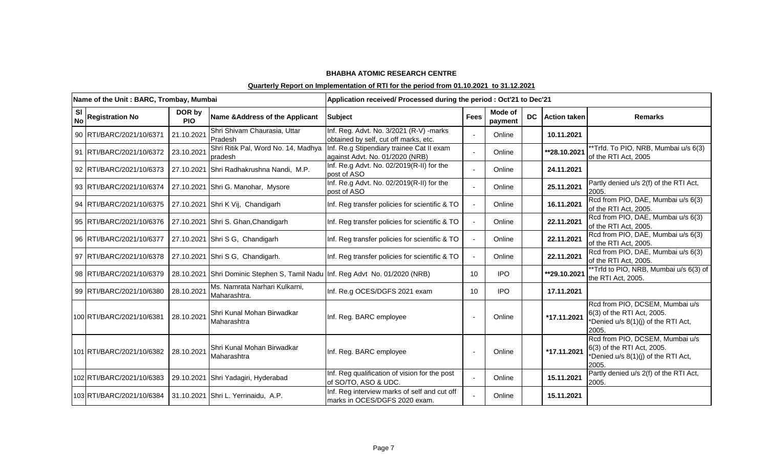|                        | Name of the Unit: BARC, Trombay, Mumbai |                      |                                                                               | Application received/ Processed during the period : Oct'21 to Dec'21              |              |                    |  |                 |                                                                                                               |
|------------------------|-----------------------------------------|----------------------|-------------------------------------------------------------------------------|-----------------------------------------------------------------------------------|--------------|--------------------|--|-----------------|---------------------------------------------------------------------------------------------------------------|
| <b>SI</b><br><b>No</b> | <b>Registration No</b>                  | DOR by<br><b>PIO</b> | Name & Address of the Applicant                                               | Subject                                                                           | <b>Fees</b>  | Mode of<br>payment |  | DC Action taken | <b>Remarks</b>                                                                                                |
|                        | 90 RTI/BARC/2021/10/6371                | 21.10.2021           | Shri Shivam Chaurasia, Uttar<br>Pradesh                                       | Inf. Reg. Advt. No. 3/2021 (R-V) - marks<br>obtained by self, cut off marks, etc. |              | Online             |  | 10.11.2021      |                                                                                                               |
|                        | 91 RTI/BARC/2021/10/6372                | 23.10.2021           | Shri Ritik Pal, Word No. 14, Madhya<br>pradesh                                | Inf. Re.g Stipendiary trainee Cat II exam<br>against Advt. No. 01/2020 (NRB)      |              | Online             |  | **28.10.2021    | **Trfd. To PIO, NRB, Mumbai u/s 6(3)<br>of the RTI Act, 2005                                                  |
|                        | 92 RTI/BARC/2021/10/6373                |                      | 27.10.2021 Shri Radhakrushna Nandi, M.P.                                      | Inf. Re.g Advt. No. 02/2019(R-II) for the<br>post of ASO                          |              | Online             |  | 24.11.2021      |                                                                                                               |
|                        | 93 RTI/BARC/2021/10/6374                |                      | 27.10.2021 Shri G. Manohar, Mysore                                            | Inf. Re.g Advt. No. 02/2019(R-II) for the<br>post of ASO                          |              | Online             |  | 25.11.2021      | Partly denied u/s 2(f) of the RTI Act,<br>2005.                                                               |
|                        | 94 RTI/BARC/2021/10/6375                |                      | 27.10.2021 Shri K Vij, Chandigarh                                             | Inf. Reg transfer policies for scientific & TO                                    | $\mathbf{r}$ | Online             |  | 16.11.2021      | Rcd from PIO, DAE, Mumbai u/s 6(3)<br>of the RTI Act, 2005.                                                   |
|                        | 95 RTI/BARC/2021/10/6376                |                      | 27.10.2021 Shri S. Ghan, Chandigarh                                           | Inf. Reg transfer policies for scientific & TO                                    | $\mathbf{r}$ | Online             |  | 22.11.2021      | Rcd from PIO, DAE, Mumbai u/s 6(3)<br>of the RTI Act, 2005.                                                   |
|                        | 96 RTI/BARC/2021/10/6377                |                      | 27.10.2021 Shri S G, Chandigarh                                               | Inf. Reg transfer policies for scientific & TO                                    | $\sim$       | Online             |  | 22.11.2021      | Rcd from PIO, DAE, Mumbai u/s 6(3)<br>of the RTI Act, 2005.                                                   |
|                        | 97 RTI/BARC/2021/10/6378                |                      | 27.10.2021 Shri S G, Chandigarh.                                              | Inf. Reg transfer policies for scientific & TO                                    | $\sim$       | Online             |  | 22.11.2021      | Rcd from PIO, DAE, Mumbai u/s 6(3)<br>of the RTI Act, 2005.                                                   |
|                        | 98 RTI/BARC/2021/10/6379                |                      | 28.10.2021 Shri Dominic Stephen S, Tamil Nadu Inf. Reg Advt No. 01/2020 (NRB) |                                                                                   | 10           | <b>IPO</b>         |  | **29.10.2021    | **Trfd to PIO, NRB, Mumbai u/s 6(3) of<br>the RTI Act, 2005.                                                  |
|                        | 99 RTI/BARC/2021/10/6380                | 28.10.2021           | Ms. Namrata Narhari Kulkarni,<br>Maharashtra.                                 | Inf. Re.g OCES/DGFS 2021 exam                                                     | 10           | <b>IPO</b>         |  | 17.11.2021      |                                                                                                               |
|                        | 100 RTI/BARC/2021/10/6381               | 28.10.2021           | Shri Kunal Mohan Birwadkar<br>Maharashtra                                     | Inf. Reg. BARC employee                                                           |              | Online             |  | *17.11.2021     | Rcd from PIO, DCSEM, Mumbai u/s<br>6(3) of the RTI Act, 2005.<br>*Denied u/s 8(1)(j) of the RTI Act,<br>2005. |
|                        | 101 RTI/BARC/2021/10/6382               | 28.10.2021           | Shri Kunal Mohan Birwadkar<br>Maharashtra                                     | Inf. Reg. BARC employee                                                           |              | Online             |  | *17.11.2021     | Rcd from PIO, DCSEM, Mumbai u/s<br>6(3) of the RTI Act, 2005.<br>*Denied u/s 8(1)(j) of the RTI Act,<br>2005. |
|                        | 102 RTI/BARC/2021/10/6383               |                      | 29.10.2021 Shri Yadagiri, Hyderabad                                           | Inf. Reg qualification of vision for the post<br>of SO/TO, ASO & UDC.             |              | Online             |  | 15.11.2021      | Partly denied u/s 2(f) of the RTI Act,<br>2005.                                                               |
|                        | 103 RTI/BARC/2021/10/6384               |                      | 31.10.2021 Shri L. Yerrinaidu, A.P.                                           | Inf. Reg interview marks of self and cut off<br>marks in OCES/DGFS 2020 exam.     |              | Online             |  | 15.11.2021      |                                                                                                               |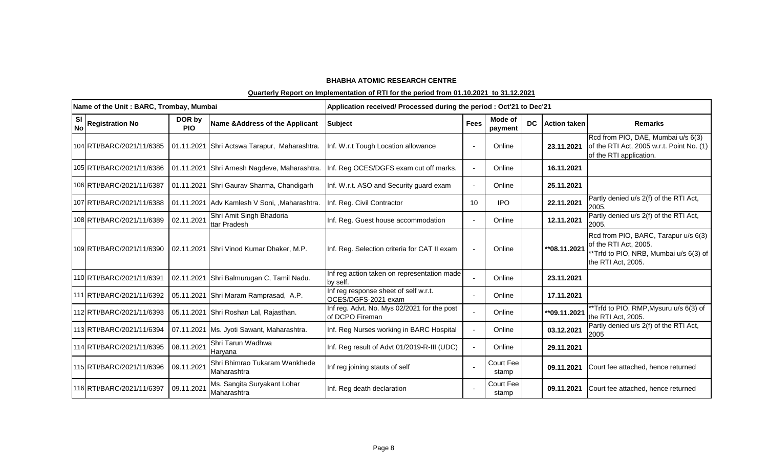|                        | Name of the Unit: BARC, Trombay, Mumbai |                      |                                               | Application received/ Processed during the period : Oct'21 to Dec'21 |             |                           |           |                     |                                                                                                                               |
|------------------------|-----------------------------------------|----------------------|-----------------------------------------------|----------------------------------------------------------------------|-------------|---------------------------|-----------|---------------------|-------------------------------------------------------------------------------------------------------------------------------|
| <b>SI</b><br><b>No</b> | <b>Registration No</b>                  | DOR by<br><b>PIO</b> | Name & Address of the Applicant               | <b>Subject</b>                                                       | <b>Fees</b> | Mode of<br>payment        | <b>DC</b> | <b>Action taken</b> | <b>Remarks</b>                                                                                                                |
|                        | 104 RTI/BARC/2021/11/6385               |                      | 01.11.2021 Shri Actswa Tarapur, Maharashtra.  | Inf. W.r.t Tough Location allowance                                  |             | Online                    |           | 23.11.2021          | Rcd from PIO, DAE, Mumbai u/s 6(3)<br>of the RTI Act, 2005 w.r.t. Point No. (1)<br>of the RTI application.                    |
|                        | 105 RTI/BARC/2021/11/6386               |                      | 01.11.2021 Shri Arnesh Nagdeve, Maharashtra.  | Inf. Reg OCES/DGFS exam cut off marks.                               |             | Online                    |           | 16.11.2021          |                                                                                                                               |
|                        | 106 RTI/BARC/2021/11/6387               |                      | 01.11.2021 Shri Gaurav Sharma, Chandigarh     | Inf. W.r.t. ASO and Security guard exam                              |             | Online                    |           | 25.11.2021          |                                                                                                                               |
|                        | 107 RTI/BARC/2021/11/6388               |                      | 01.11.2021 Adv Kamlesh V Soni, , Maharashtra. | Inf. Reg. Civil Contractor                                           | 10          | IPO.                      |           | 22.11.2021          | Partly denied u/s 2(f) of the RTI Act,<br>2005.                                                                               |
|                        | 108 RTI/BARC/2021/11/6389               | 02.11.2021           | Shri Amit Singh Bhadoria<br>ttar Pradesh      | Inf. Reg. Guest house accommodation                                  |             | Online                    |           | 12.11.2021          | Partly denied u/s 2(f) of the RTI Act,<br>2005.                                                                               |
|                        | 109 RTI/BARC/2021/11/6390               |                      | 02.11.2021 Shri Vinod Kumar Dhaker, M.P.      | Inf. Reg. Selection criteria for CAT II exam                         |             | Online                    |           | ** 08.11.2021       | Rcd from PIO, BARC, Tarapur u/s 6(3)<br>of the RTI Act, 2005.<br>**Trfd to PIO, NRB, Mumbai u/s 6(3) of<br>the RTI Act, 2005. |
|                        | 110 RTI/BARC/2021/11/6391               |                      | 02.11.2021 Shri Balmurugan C, Tamil Nadu.     | Inf reg action taken on representation made<br>by self.              |             | Online                    |           | 23.11.2021          |                                                                                                                               |
|                        | 111 RTI/BARC/2021/11/6392               |                      | 05.11.2021 Shri Maram Ramprasad, A.P.         | Inf reg response sheet of self w.r.t.<br>OCES/DGFS-2021 exam         |             | Online                    |           | 17.11.2021          |                                                                                                                               |
|                        | 112 RTI/BARC/2021/11/6393               |                      | 05.11.2021 Shri Roshan Lal, Rajasthan.        | Inf reg. Advt. No. Mys 02/2021 for the post<br>of DCPO Fireman       |             | Online                    |           | **09.11.2021        | **Trfd to PIO, RMP, Mysuru u/s 6(3) of<br>the RTI Act, 2005.                                                                  |
|                        | 113 RTI/BARC/2021/11/6394               |                      | 07.11.2021   Ms. Jyoti Sawant, Maharashtra.   | Inf. Reg Nurses working in BARC Hospital                             |             | Online                    |           | 03.12.2021          | Partly denied u/s 2(f) of the RTI Act,<br>2005                                                                                |
|                        | 114 RTI/BARC/2021/11/6395               | 08.11.2021           | Shri Tarun Wadhwa<br>Haryana                  | Inf. Reg result of Advt 01/2019-R-III (UDC)                          |             | Online                    |           | 29.11.2021          |                                                                                                                               |
|                        | 115 RTI/BARC/2021/11/6396               | 09.11.2021           | Shri Bhimrao Tukaram Wankhede<br>Maharashtra  | Inf reg joining stauts of self                                       |             | <b>Court Fee</b><br>stamp |           | 09.11.2021          | Court fee attached, hence returned                                                                                            |
|                        | 116 RTI/BARC/2021/11/6397               | 09.11.2021           | Ms. Sangita Suryakant Lohar<br>Maharashtra    | Inf. Reg death declaration                                           |             | Court Fee<br>stamp        |           | 09.11.2021          | Court fee attached, hence returned                                                                                            |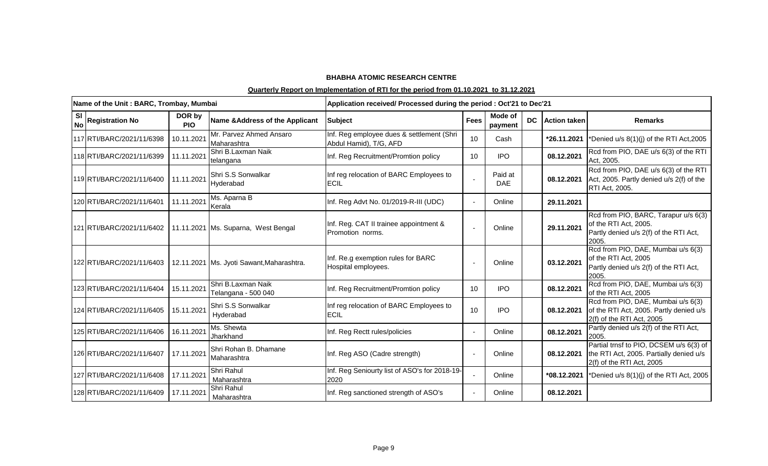|                        | Name of the Unit: BARC, Trombay, Mumbai |                      |                                                               | Application received/ Processed during the period : Oct'21 to Dec'21 |             |                       |           |                     |                                                                                                                  |
|------------------------|-----------------------------------------|----------------------|---------------------------------------------------------------|----------------------------------------------------------------------|-------------|-----------------------|-----------|---------------------|------------------------------------------------------------------------------------------------------------------|
| <b>SI</b><br><b>No</b> | <b>Registration No</b>                  | DOR by<br><b>PIO</b> | Name & Address of the Applicant                               | <b>Subject</b>                                                       | <b>Fees</b> | Mode of<br>payment    | <b>DC</b> | <b>Action taken</b> | <b>Remarks</b>                                                                                                   |
|                        | 117 RTI/BARC/2021/11/6398               | 10.11.2021           | Mr. Parvez Ahmed Ansaro<br>Maharashtra                        | Inf. Reg employee dues & settlement (Shri<br>Abdul Hamid), T/G, AFD  | 10          | Cash                  |           | *26.11.2021         | *Denied u/s 8(1)(j) of the RTI Act, 2005                                                                         |
|                        | 118 RTI/BARC/2021/11/6399               | 11.11.2021           | Shri B.Laxman Naik<br>telangana                               | Inf. Reg Recruitment/Promtion policy                                 | 10          | <b>IPO</b>            |           | 08.12.2021          | Rcd from PIO, DAE u/s 6(3) of the RTI<br>Act, 2005.                                                              |
|                        | 119 RTI/BARC/2021/11/6400               | 11.11.2021           | Shri S.S Sonwalkar<br>Hyderabad                               | Inf reg relocation of BARC Employees to<br><b>ECIL</b>               |             | Paid at<br><b>DAE</b> |           | 08.12.2021          | Rcd from PIO, DAE u/s 6(3) of the RTI<br>Act, 2005. Partly denied u/s 2(f) of the<br>RTI Act, 2005.              |
|                        | 120 RTI/BARC/2021/11/6401               | 11.11.2021           | Ms. Aparna B<br>Kerala                                        | Inf. Reg Advt No. 01/2019-R-III (UDC)                                |             | Online                |           | 29.11.2021          |                                                                                                                  |
|                        |                                         |                      | 121 RTI/BARC/2021/11/6402 11.11.2021 Ms. Suparna, West Bengal | Inf. Reg. CAT II trainee appointment &<br>Promotion norms.           |             | Online                |           | 29.11.2021          | Rcd from PIO, BARC, Tarapur u/s 6(3)<br>of the RTI Act, 2005.<br>Partly denied u/s 2(f) of the RTI Act,<br>2005. |
|                        | 122 RTI/BARC/2021/11/6403               |                      | 12.11.2021   Ms. Jyoti Sawant, Maharashtra.                   | Inf. Re.g exemption rules for BARC<br>Hospital employees.            |             | Online                |           | 03.12.2021          | Rcd from PIO, DAE, Mumbai u/s 6(3)<br>of the RTI Act, 2005<br>Partly denied u/s 2(f) of the RTI Act,<br>2005.    |
|                        | 123 RTI/BARC/2021/11/6404               | 15.11.2021           | Shri B.Laxman Naik<br>Telangana - 500 040                     | Inf. Reg Recruitment/Promtion policy                                 | 10          | <b>IPO</b>            |           | 08.12.2021          | Rcd from PIO, DAE, Mumbai u/s 6(3)<br>of the RTI Act, 2005                                                       |
|                        | 124 RTI/BARC/2021/11/6405               | 15.11.2021           | Shri S.S Sonwalkar<br>Hyderabad                               | Inf reg relocation of BARC Employees to<br><b>ECIL</b>               | 10          | <b>IPO</b>            |           | 08.12.2021          | Rcd from PIO, DAE, Mumbai u/s 6(3)<br>of the RTI Act, 2005. Partly denied u/s<br>2(f) of the RTI Act, 2005       |
|                        | 125 RTI/BARC/2021/11/6406               | 16.11.2021           | Ms. Shewta<br>Jharkhand                                       | Inf. Reg Rectt rules/policies                                        |             | Online                |           | 08.12.2021          | Partly denied u/s 2(f) of the RTI Act,<br>2005.                                                                  |
|                        | 126 RTI/BARC/2021/11/6407               | 17.11.2021           | Shri Rohan B. Dhamane<br>Maharashtra                          | Inf. Reg ASO (Cadre strength)                                        |             | Online                |           | 08.12.2021          | Partial trnsf to PIO, DCSEM u/s 6(3) of<br>the RTI Act, 2005. Partially denied u/s<br>2(f) of the RTI Act, 2005  |
|                        | 127 RTI/BARC/2021/11/6408               | 17.11.2021           | Shri Rahul<br>Maharashtra                                     | Inf. Reg Seniourty list of ASO's for 2018-19-<br>2020                |             | Online                |           | *08.12.2021         | *Denied u/s 8(1)(j) of the RTI Act, 2005                                                                         |
|                        | 128 RTI/BARC/2021/11/6409               | 17.11.2021           | Shri Rahul<br>Maharashtra                                     | Inf. Reg sanctioned strength of ASO's                                |             | Online                |           | 08.12.2021          |                                                                                                                  |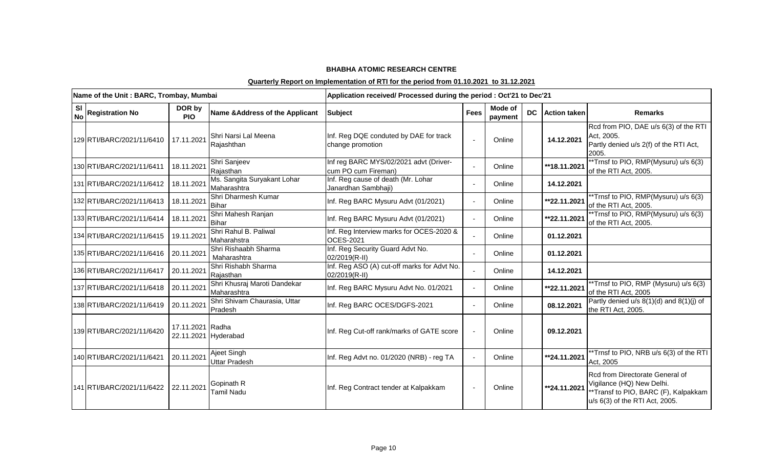|                        | Name of the Unit: BARC, Trombay, Mumbai |                      |                                             | Application received/ Processed during the period : Oct'21 to Dec'21 |             |                    |    |                     |                                                                                                                                        |
|------------------------|-----------------------------------------|----------------------|---------------------------------------------|----------------------------------------------------------------------|-------------|--------------------|----|---------------------|----------------------------------------------------------------------------------------------------------------------------------------|
| <b>SI</b><br><b>No</b> | <b>Registration No</b>                  | DOR by<br><b>PIO</b> | Name & Address of the Applicant             | <b>Subject</b>                                                       | <b>Fees</b> | Mode of<br>payment | DC | <b>Action taken</b> | <b>Remarks</b>                                                                                                                         |
|                        | 129 RTI/BARC/2021/11/6410               | 17.11.2021           | Shri Narsi Lal Meena<br>Rajashthan          | Inf. Reg DQE conduted by DAE for track<br>change promotion           |             | Online             |    | 14.12.2021          | Rcd from PIO, DAE u/s 6(3) of the RTI<br>Act, 2005.<br>Partly denied u/s 2(f) of the RTI Act,<br>2005.                                 |
|                        | 130 RTI/BARC/2021/11/6411               | 18.11.2021           | Shri Sanjeev<br>Rajasthan                   | Inf reg BARC MYS/02/2021 advt (Driver-<br>cum PO cum Fireman)        |             | Online             |    | **18.11.2021        | *Trnsf to PIO, RMP(Mysuru) u/s 6(3)<br>of the RTI Act, 2005.                                                                           |
|                        | 131 RTI/BARC/2021/11/6412               | 18.11.2021           | Ms. Sangita Suryakant Lohar<br>Maharashtra  | Inf. Reg cause of death (Mr. Lohar<br>Janardhan Sambhaji)            |             | Online             |    | 14.12.2021          |                                                                                                                                        |
|                        | 132 RTI/BARC/2021/11/6413               | 18.11.2021           | Shri Dharmesh Kumar<br><b>Bihar</b>         | Inf. Reg BARC Mysuru Advt (01/2021)                                  |             | Online             |    | **22.11.2021        | *Trnsf to PIO, RMP(Mysuru) u/s 6(3)<br>of the RTI Act, 2005.                                                                           |
|                        | 133 RTI/BARC/2021/11/6414               | 18.11.2021           | Shri Mahesh Ranjan<br><b>Bihar</b>          | Inf. Reg BARC Mysuru Advt (01/2021)                                  |             | Online             |    | **22.11.2021        | *Trnsf to PIO, RMP(Mysuru) u/s 6(3)<br>of the RTI Act, 2005.                                                                           |
|                        | 134 RTI/BARC/2021/11/6415               | 19.11.2021           | Shri Rahul B. Paliwal<br>Maharahstra        | Inf. Reg Interview marks for OCES-2020 &<br><b>OCES-2021</b>         |             | Online             |    | 01.12.2021          |                                                                                                                                        |
|                        | 135 RTI/BARC/2021/11/6416               | 20.11.2021           | Shri Rishaabh Sharma<br>Maharashtra         | Inf. Reg Security Guard Advt No.<br>02/2019(R-II)                    |             | Online             |    | 01.12.2021          |                                                                                                                                        |
|                        | 136 RTI/BARC/2021/11/6417               | 20.11.2021           | Shri Rishabh Sharma<br>Rajasthan            | Inf. Reg ASO (A) cut-off marks for Advt No.<br>02/2019(R-II)         |             | Online             |    | 14.12.2021          |                                                                                                                                        |
|                        | 137 RTI/BARC/2021/11/6418               | 20.11.2021           | Shri Khusraj Maroti Dandekar<br>Maharashtra | Inf. Reg BARC Mysuru Advt No. 01/2021                                |             | Online             |    | **22.11.2021        | *Trnsf to PIO, RMP (Mysuru) u/s 6(3)<br>of the RTI Act, 2005                                                                           |
|                        | 138 RTI/BARC/2021/11/6419               | 20.11.2021           | Shri Shivam Chaurasia, Uttar<br>Pradesh     | Inf. Reg BARC OCES/DGFS-2021                                         |             | Online             |    | 08.12.2021          | Partly denied $u/s$ 8(1)(d) and 8(1)(j) of<br>the RTI Act, 2005.                                                                       |
|                        | 139 RTI/BARC/2021/11/6420               | 17.11.2021 Radha     | 22.11.2021 Hyderabad                        | Inf. Reg Cut-off rank/marks of GATE score                            |             | Online             |    | 09.12.2021          |                                                                                                                                        |
|                        | 140 RTI/BARC/2021/11/6421               | 20.11.2021           | Ajeet Singh<br><b>Uttar Pradesh</b>         | Inf. Reg Advt no. 01/2020 (NRB) - reg TA                             |             | Online             |    | **24.11.2021        | **Trnsf to PIO, NRB u/s 6(3) of the RTI<br>Act, 2005                                                                                   |
|                        | 141 RTI/BARC/2021/11/6422 22.11.2021    |                      | Gopinath R<br><b>Tamil Nadu</b>             | Inf. Reg Contract tender at Kalpakkam                                |             | Online             |    | **24.11.2021        | Rcd from Directorate General of<br>Vigilance (HQ) New Delhi.<br>**Transf to PIO, BARC (F), Kalpakkam<br>u/s 6(3) of the RTI Act, 2005. |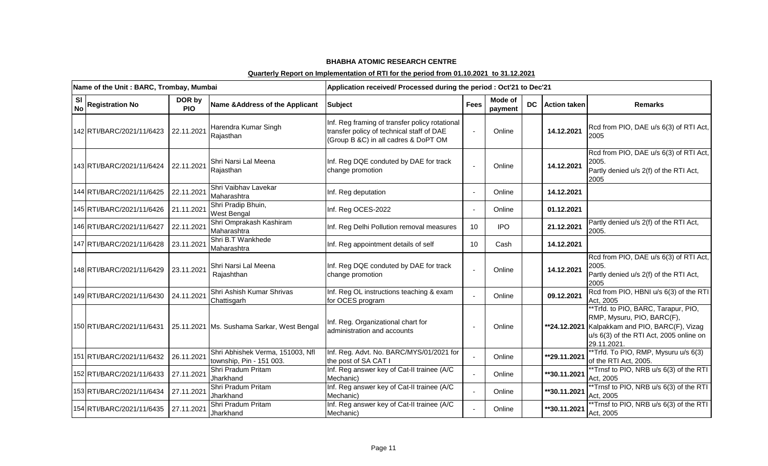|                        | Name of the Unit: BARC, Trombay, Mumbai |                      |                                                              | Application received/ Processed during the period : Oct'21 to Dec'21                                                                |             |                           |  |                        |                                                                                                                                                                               |
|------------------------|-----------------------------------------|----------------------|--------------------------------------------------------------|-------------------------------------------------------------------------------------------------------------------------------------|-------------|---------------------------|--|------------------------|-------------------------------------------------------------------------------------------------------------------------------------------------------------------------------|
| <b>SI</b><br><b>No</b> | <b>Registration No</b>                  | DOR by<br><b>PIO</b> | Name & Address of the Applicant                              | <b>Subject</b>                                                                                                                      | <b>Fees</b> | <b>Mode of</b><br>payment |  | <b>DC</b> Action taken | <b>Remarks</b>                                                                                                                                                                |
|                        | 142 RTI/BARC/2021/11/6423               | 22.11.2021           | Harendra Kumar Singh<br>Rajasthan                            | Inf. Reg framing of transfer policy rotational<br>transfer policy of technical staff of DAE<br>(Group B &C) in all cadres & DoPT OM |             | Online                    |  | 14.12.2021             | Rcd from PIO, DAE u/s 6(3) of RTI Act,<br>2005                                                                                                                                |
|                        | 143 RTI/BARC/2021/11/6424               | 22.11.2021           | Shri Narsi Lal Meena<br>Rajasthan                            | Inf. Reg DQE conduted by DAE for track<br>change promotion                                                                          |             | Online                    |  | 14.12.2021             | Rcd from PIO, DAE u/s 6(3) of RTI Act,<br>2005.<br>Partly denied u/s 2(f) of the RTI Act,<br>2005                                                                             |
|                        | 144 RTI/BARC/2021/11/6425               | 22.11.2021           | Shri Vaibhav Lavekar<br>Maharashtra                          | Inf. Reg deputation                                                                                                                 |             | Online                    |  | 14.12.2021             |                                                                                                                                                                               |
|                        | 145 RTI/BARC/2021/11/6426               | 21.11.2021           | Shri Pradip Bhuin,<br>West Bengal                            | Inf. Reg OCES-2022                                                                                                                  |             | Online                    |  | 01.12.2021             |                                                                                                                                                                               |
|                        | 146 RTI/BARC/2021/11/6427               | 22.11.2021           | Shri Omprakash Kashiram<br>Maharashtra                       | Inf. Reg Delhi Pollution removal measures                                                                                           | 10          | <b>IPO</b>                |  | 21.12.2021             | Partly denied u/s 2(f) of the RTI Act,<br>2005.                                                                                                                               |
|                        | 147 RTI/BARC/2021/11/6428               | 23.11.2021           | Shri B.T Wankhede<br>Maharashtra                             | Inf. Reg appointment details of self                                                                                                | 10          | Cash                      |  | 14.12.2021             |                                                                                                                                                                               |
|                        | 148 RTI/BARC/2021/11/6429               | 23.11.2021           | Shri Narsi Lal Meena<br>Rajashthan                           | Inf. Reg DQE conduted by DAE for track<br>change promotion                                                                          |             | Online                    |  | 14.12.2021             | Rcd from PIO, DAE u/s 6(3) of RTI Act,<br>2005.<br>Partly denied u/s 2(f) of the RTI Act,<br>2005                                                                             |
|                        | 149 RTI/BARC/2021/11/6430               | 24.11.2021           | Shri Ashish Kumar Shrivas<br>Chattisgarh                     | Inf. Reg OL instructions teaching & exam<br>for OCES program                                                                        |             | Online                    |  | 09.12.2021             | Rcd from PIO, HBNI u/s 6(3) of the RTI<br>Act, 2005                                                                                                                           |
|                        | 150 RTI/BARC/2021/11/6431               |                      | 25.11.2021 Ms. Sushama Sarkar, West Bengal                   | Inf. Reg. Organizational chart for<br>administration and accounts                                                                   |             | Online                    |  |                        | **Trfd. to PIO, BARC, Tarapur, PIO,<br>RMP, Mysuru, PIO, BARC(F),<br>**24.12.2021 Kalpakkam and PIO, BARC(F), Vizag<br>u/s 6(3) of the RTI Act, 2005 online on<br>29.11.2021. |
|                        | 151 RTI/BARC/2021/11/6432               | 26.11.2021           | Shri Abhishek Verma, 151003, Nfl<br>township, Pin - 151 003. | Inf. Reg. Advt. No. BARC/MYS/01/2021 for<br>the post of SA CAT I                                                                    |             | Online                    |  | **29.11.2021           | **Trfd. To PIO, RMP, Mysuru u/s 6(3)<br>of the RTI Act, 2005.                                                                                                                 |
|                        | 152 RTI/BARC/2021/11/6433               | 27.11.2021           | Shri Pradum Pritam<br>Jharkhand                              | Inf. Reg answer key of Cat-II trainee (A/C<br>Mechanic)                                                                             |             | Online                    |  | **30.11.2021           | **Trnsf to PIO, NRB u/s 6(3) of the RTI<br>Act, 2005                                                                                                                          |
|                        | 153 RTI/BARC/2021/11/6434               | 27.11.2021           | Shri Pradum Pritam<br>Jharkhand                              | Inf. Reg answer key of Cat-II trainee (A/C<br>Mechanic)                                                                             |             | Online                    |  | **30.11.2021           | *Trnsf to PIO, NRB u/s 6(3) of the RTI<br>Act, 2005                                                                                                                           |
|                        | 154 RTI/BARC/2021/11/6435               | 27.11.2021           | Shri Pradum Pritam<br>Jharkhand                              | Inf. Reg answer key of Cat-II trainee (A/C<br>Mechanic)                                                                             |             | Online                    |  | **30.11.2021           | *Trnsf to PIO, NRB u/s 6(3) of the RTI<br>Act, 2005                                                                                                                           |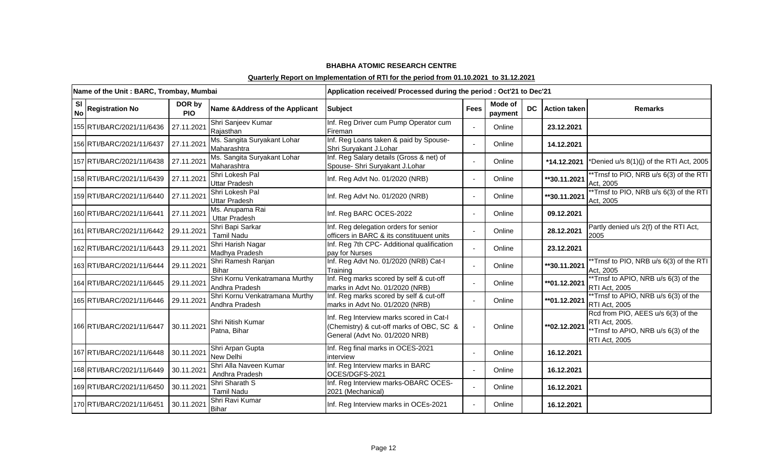|                        | Name of the Unit: BARC, Trombay, Mumbai |                      |                                                  | Application received/ Processed during the period : Oct'21 to Dec'21                                                   |             |                    |           |                     |                                                                                                                      |
|------------------------|-----------------------------------------|----------------------|--------------------------------------------------|------------------------------------------------------------------------------------------------------------------------|-------------|--------------------|-----------|---------------------|----------------------------------------------------------------------------------------------------------------------|
| <b>SI</b><br><b>No</b> | <b>Registration No</b>                  | DOR by<br><b>PIO</b> | Name & Address of the Applicant                  | <b>Subject</b>                                                                                                         | <b>Fees</b> | Mode of<br>payment | <b>DC</b> | <b>Action taken</b> | <b>Remarks</b>                                                                                                       |
|                        | 155 RTI/BARC/2021/11/6436               | 27.11.2021           | Shri Sanjeev Kumar<br>Rajasthan                  | Inf. Reg Driver cum Pump Operator cum<br>Fireman                                                                       |             | Online             |           | 23.12.2021          |                                                                                                                      |
|                        | 156 RTI/BARC/2021/11/6437               | 27.11.2021           | Ms. Sangita Suryakant Lohar<br>Maharashtra       | Inf. Reg Loans taken & paid by Spouse-<br>Shri Suryakant J.Lohar                                                       |             | Online             |           | 14.12.2021          |                                                                                                                      |
|                        | 157 RTI/BARC/2021/11/6438               | 27.11.2021           | Ms. Sangita Suryakant Lohar<br>Maharashtra       | Inf. Reg Salary details (Gross & net) of<br>Spouse- Shri Suryakant J.Lohar                                             |             | Online             |           | *14.12.2021         | *Denied u/s 8(1)(j) of the RTI Act, 2005                                                                             |
|                        | 158 RTI/BARC/2021/11/6439               | 27.11.2021           | Shri Lokesh Pal<br><b>Uttar Pradesh</b>          | Inf. Reg Advt No. 01/2020 (NRB)                                                                                        |             | Online             |           | **30.11.2021        | *Trnsf to PIO, NRB u/s 6(3) of the RTI<br>Act, 2005                                                                  |
|                        | 159 RTI/BARC/2021/11/6440               | 27.11.2021           | Shri Lokesh Pal<br><b>Uttar Pradesh</b>          | Inf. Reg Advt No. 01/2020 (NRB)                                                                                        |             | Online             |           | **30.11.2021        | **Trnsf to PIO, NRB u/s 6(3) of the RTI<br>Act, 2005                                                                 |
|                        | 160 RTI/BARC/2021/11/6441               | 27.11.2021           | Ms. Anupama Rai<br><b>Uttar Pradesh</b>          | Inf. Reg BARC OCES-2022                                                                                                |             | Online             |           | 09.12.2021          |                                                                                                                      |
|                        | 161 RTI/BARC/2021/11/6442               | 29.11.2021           | Shri Bapi Sarkar<br><b>Tamil Nadu</b>            | Inf. Reg delegation orders for senior<br>officers in BARC & its constituuent units                                     |             | Online             |           | 28.12.2021          | Partly denied u/s 2(f) of the RTI Act,<br>2005                                                                       |
|                        | 162 RTI/BARC/2021/11/6443 29.11.2021    |                      | Shri Harish Nagar<br>Madhya Pradesh              | Inf. Reg 7th CPC- Additional qualification<br>pay for Nurses                                                           |             | Online             |           | 23.12.2021          |                                                                                                                      |
|                        | 163 RTI/BARC/2021/11/6444               | 29.11.2021           | Shri Ramesh Ranjan<br><b>Bihar</b>               | Inf. Reg Advt No. 01/2020 (NRB) Cat-I<br>Training                                                                      |             | Online             |           | **30.11.2021        | *Trnsf to PIO, NRB u/s 6(3) of the RTI<br>Act, 2005                                                                  |
|                        | 164 RTI/BARC/2021/11/6445 29.11.2021    |                      | Shri Kornu Venkatramana Murthy<br>Andhra Pradesh | Inf. Reg marks scored by self & cut-off<br>marks in Advt No. 01/2020 (NRB)                                             |             | Online             |           | **01.12.2021        | **Trnsf to APIO, NRB u/s 6(3) of the<br><b>RTI Act, 2005</b>                                                         |
|                        | 165 RTI/BARC/2021/11/6446               | 29.11.2021           | Shri Kornu Venkatramana Murthy<br>Andhra Pradesh | Inf. Reg marks scored by self & cut-off<br>marks in Advt No. 01/2020 (NRB)                                             |             | Online             |           | ** 01.12.2021       | **Trnsf to APIO, NRB u/s 6(3) of the<br><b>RTI Act, 2005</b>                                                         |
|                        | 166 RTI/BARC/2021/11/6447               | 30.11.2021           | Shri Nitish Kumar<br>Patna, Bihar                | Inf. Reg Interview marks scored in Cat-I<br>(Chemistry) & cut-off marks of OBC, SC &<br>General (Advt No. 01/2020 NRB) |             | Online             |           | ** 02.12.2021       | Rcd from PIO, AEES u/s 6(3) of the<br>RTI Act, 2005.<br>**Trnsf to APIO, NRB u/s 6(3) of the<br><b>RTI Act, 2005</b> |
|                        | 167 RTI/BARC/2021/11/6448               | 30.11.2021           | Shri Arpan Gupta<br>New Delhi                    | Inf. Reg final marks in OCES-2021<br>interview                                                                         |             | Online             |           | 16.12.2021          |                                                                                                                      |
|                        | 168 RTI/BARC/2021/11/6449               | 30.11.2021           | Shri Alla Naveen Kumar<br>Andhra Pradesh         | Inf. Reg Interview marks in BARC<br>OCES/DGFS-2021                                                                     |             | Online             |           | 16.12.2021          |                                                                                                                      |
|                        | 169 RTI/BARC/2021/11/6450               | 30.11.2021           | Shri Sharath S<br><b>Tamil Nadu</b>              | Inf. Reg Interview marks-OBARC OCES-<br>2021 (Mechanical)                                                              |             | Online             |           | 16.12.2021          |                                                                                                                      |
|                        | 170 RTI/BARC/2021/11/6451               | 30.11.2021           | Shri Ravi Kumar<br><b>Bihar</b>                  | Inf. Reg Interview marks in OCEs-2021                                                                                  |             | Online             |           | 16.12.2021          |                                                                                                                      |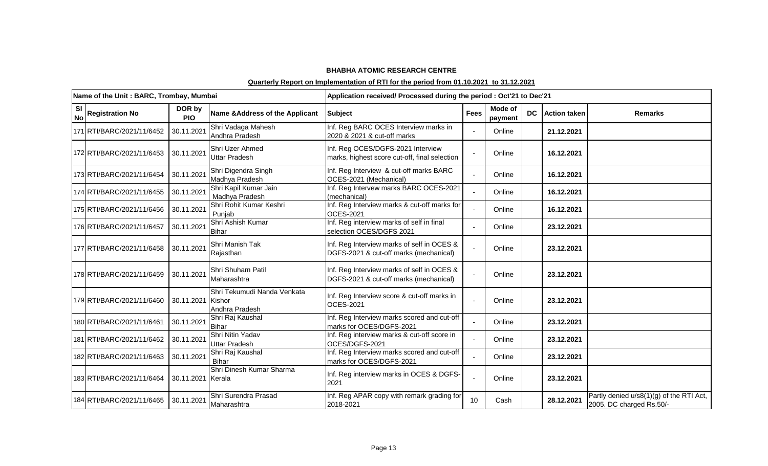|                 | Name of the Unit: BARC, Trombay, Mumbai |                      |                                                         | Application received/ Processed during the period : Oct'21 to Dec'21                 |             |                    |           |                     |                                                                      |
|-----------------|-----------------------------------------|----------------------|---------------------------------------------------------|--------------------------------------------------------------------------------------|-------------|--------------------|-----------|---------------------|----------------------------------------------------------------------|
| SI<br><b>No</b> | <b>Registration No</b>                  | DOR by<br><b>PIO</b> | Name & Address of the Applicant                         | <b>Subject</b>                                                                       | <b>Fees</b> | Mode of<br>payment | <b>DC</b> | <b>Action taken</b> | <b>Remarks</b>                                                       |
|                 | 171 RTI/BARC/2021/11/6452               | 30.11.2021           | Shri Vadaga Mahesh<br>Andhra Pradesh                    | Inf. Reg BARC OCES Interview marks in<br>2020 & 2021 & cut-off marks                 |             | Online             |           | 21.12.2021          |                                                                      |
|                 | 172 RTI/BARC/2021/11/6453               | 30.11.2021           | Shri Uzer Ahmed<br><b>Uttar Pradesh</b>                 | Inf. Reg OCES/DGFS-2021 Interview<br>marks, highest score cut-off, final selection   |             | Online             |           | 16.12.2021          |                                                                      |
|                 | 173 RTI/BARC/2021/11/6454               | 30.11.2021           | Shri Digendra Singh<br>Madhya Pradesh                   | Inf. Reg Interview & cut-off marks BARC<br>OCES-2021 (Mechanical)                    |             | Online             |           | 16.12.2021          |                                                                      |
|                 | 174 RTI/BARC/2021/11/6455               | 30.11.2021           | Shri Kapil Kumar Jain<br>Madhya Pradesh                 | Inf. Reg Intervew marks BARC OCES-2021<br>(mechanical)                               |             | Online             |           | 16.12.2021          |                                                                      |
|                 | 175 RTI/BARC/2021/11/6456               | 30.11.2021           | Shri Rohit Kumar Keshri<br>Punjab                       | Inf. Reg Interview marks & cut-off marks for<br><b>OCES-2021</b>                     |             | Online             |           | 16.12.2021          |                                                                      |
|                 | 176 RTI/BARC/2021/11/6457               | 30.11.2021           | Shri Ashish Kumar<br><b>Bihar</b>                       | Inf. Reg interview marks of self in final<br>selection OCES/DGFS 2021                |             | Online             |           | 23.12.2021          |                                                                      |
|                 | 177 RTI/BARC/2021/11/6458               | 30.11.2021           | Shri Manish Tak<br>Rajasthan                            | Inf. Reg Interview marks of self in OCES &<br>DGFS-2021 & cut-off marks (mechanical) |             | Online             |           | 23.12.2021          |                                                                      |
|                 | 178 RTI/BARC/2021/11/6459               | 30.11.2021           | Shri Shuham Patil<br>Maharashtra                        | Inf. Reg Interview marks of self in OCES &<br>DGFS-2021 & cut-off marks (mechanical) |             | Online             |           | 23.12.2021          |                                                                      |
|                 | 179 RTI/BARC/2021/11/6460               | 30.11.2021           | Shri Tekumudi Nanda Venkata<br>Kishor<br>Andhra Pradesh | Inf. Reg Interview score & cut-off marks in<br>OCES-2021                             |             | Online             |           | 23.12.2021          |                                                                      |
|                 | 180 RTI/BARC/2021/11/6461               | 30.11.2021           | Shri Raj Kaushal<br><b>Bihar</b>                        | Inf. Reg Interview marks scored and cut-off<br>marks for OCES/DGFS-2021              |             | Online             |           | 23.12.2021          |                                                                      |
|                 | 181 RTI/BARC/2021/11/6462               | 30.11.2021           | Shri Nitin Yadav<br><b>Uttar Pradesh</b>                | Inf. Reg interview marks & cut-off score in<br>OCES/DGFS-2021                        |             | Online             |           | 23.12.2021          |                                                                      |
|                 | 182 RTI/BARC/2021/11/6463               | 30.11.2021           | Shri Raj Kaushal<br>Bihar                               | Inf. Reg Interview marks scored and cut-off<br>marks for OCES/DGFS-2021              |             | Online             |           | 23.12.2021          |                                                                      |
|                 | 183 RTI/BARC/2021/11/6464               | 30.11.2021 Kerala    | Shri Dinesh Kumar Sharma                                | Inf. Reg interview marks in OCES & DGFS-<br>2021                                     |             | Online             |           | 23.12.2021          |                                                                      |
|                 | 184 RTI/BARC/2021/11/6465               | 30.11.2021           | Shri Surendra Prasad<br>Maharashtra                     | Inf. Reg APAR copy with remark grading for<br>2018-2021                              | 10          | Cash               |           | 28.12.2021          | Partly denied u/s8(1)(g) of the RTI Act,<br>2005. DC charged Rs.50/- |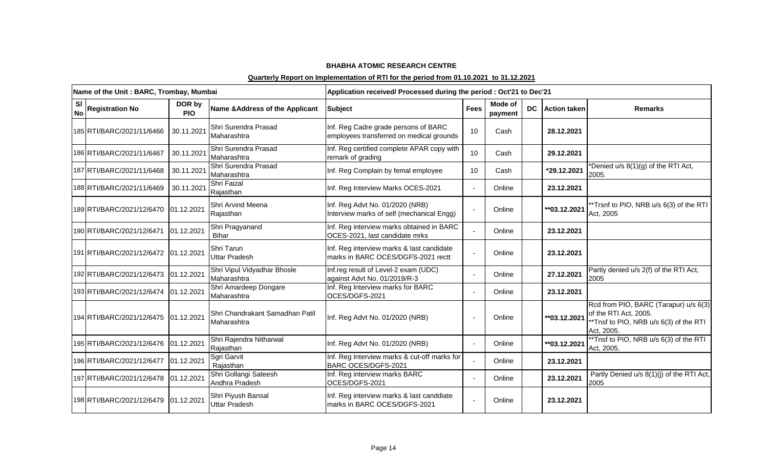|                        | Name of the Unit: BARC, Trombay, Mumbai |                      |                                                | Application received/ Processed during the period : Oct'21 to Dec'21             |             |                    |           |                     |                                                                                                                       |
|------------------------|-----------------------------------------|----------------------|------------------------------------------------|----------------------------------------------------------------------------------|-------------|--------------------|-----------|---------------------|-----------------------------------------------------------------------------------------------------------------------|
| <b>SI</b><br><b>No</b> | <b>Registration No</b>                  | DOR by<br><b>PIO</b> | Name & Address of the Applicant                | <b>Subject</b>                                                                   | <b>Fees</b> | Mode of<br>payment | <b>DC</b> | <b>Action taken</b> | <b>Remarks</b>                                                                                                        |
|                        | 185 RTI/BARC/2021/11/6466               | 30.11.2021           | Shri Surendra Prasad<br>Maharashtra            | Inf. Reg Cadre grade persons of BARC<br>employees transferred on medical grounds | 10          | Cash               |           | 28.12.2021          |                                                                                                                       |
|                        | 186 RTI/BARC/2021/11/6467               | 30.11.2021           | Shri Surendra Prasad<br>Maharashtra            | Inf. Reg certified complete APAR copy with<br>remark of grading                  | 10          | Cash               |           | 29.12.2021          |                                                                                                                       |
|                        | 187 RTI/BARC/2021/11/6468               | 30.11.2021           | Shri Surendra Prasad<br>Maharashtra            | Inf. Reg Complain by femal employee                                              | 10          | Cash               |           | *29.12.2021         | *Denied u/s 8(1)(g) of the RTI Act,<br>2005.                                                                          |
|                        | 188 RTI/BARC/2021/11/6469               | 30.11.2021           | Shri Faizal<br>Rajasthan                       | Inf. Reg Interview Marks OCES-2021                                               |             | Online             |           | 23.12.2021          |                                                                                                                       |
|                        | 189 RTI/BARC/2021/12/6470               | 01.12.2021           | Shri Arvind Meena<br>Rajasthan                 | Inf. Reg Advt No. 01/2020 (NRB)<br>Interview marks of self (mechanical Engg)     |             | Online             |           | **03.12.2021        | *Trsnf to PIO, NRB u/s 6(3) of the RTI<br>Act, 2005                                                                   |
|                        | 190 RTI/BARC/2021/12/6471 01.12.2021    |                      | Shri Pragyanand<br><b>Bihar</b>                | Inf. Reg interview marks obtained in BARC<br>OCES-2021, last candidate mrks      |             | Online             |           | 23.12.2021          |                                                                                                                       |
|                        | 191 RTI/BARC/2021/12/6472 01.12.2021    |                      | Shri Tarun<br>Uttar Pradesh                    | Inf. Reg interview marks & last candidate<br>marks in BARC OCES/DGFS-2021 rectt  |             | Online             |           | 23.12.2021          |                                                                                                                       |
|                        | 192 RTI/BARC/2021/12/6473 01.12.2021    |                      | Shri Vipul Vidyadhar Bhosle<br>Maharashtra     | Inf.reg result of Level-2 exam (UDC)<br>against Advt No. 01/2019/R-3             |             | Online             |           | 27.12.2021          | Partly denied u/s 2(f) of the RTI Act,<br>2005                                                                        |
|                        | 193 RTI/BARC/2021/12/6474 01.12.2021    |                      | Shri Amardeep Dongare<br>Maharashtra           | Inf. Reg Interview marks for BARC<br>OCES/DGFS-2021                              |             | Online             |           | 23.12.2021          |                                                                                                                       |
|                        | 194 RTI/BARC/2021/12/6475 01.12.2021    |                      | Shri Chandrakant Samadhan Patil<br>Maharashtra | Inf. Reg Advt No. 01/2020 (NRB)                                                  |             | Online             |           | **03.12.2021        | Rcd from PIO, BARC (Tarapur) u/s 6(3)<br>of the RTI Act, 2005.<br>*Tnsf to PIO, NRB u/s 6(3) of the RTI<br>Act, 2005. |
|                        | 195 RTI/BARC/2021/12/6476 01.12.2021    |                      | Shri Rajendra Nitharwal<br>Rajasthan           | Inf. Reg Advt No. 01/2020 (NRB)                                                  |             | Online             |           | **03.12.2021        | **Tnsf to PIO, NRB u/s 6(3) of the RTI<br>Act, 2005.                                                                  |
|                        | 196 RTI/BARC/2021/12/6477 01.12.2021    |                      | Sgri Garvit<br>Rajasthan                       | Inf. Reg Interview marks & cut-off marks for<br>BARC OCES/DGFS-2021              |             | Online             |           | 23.12.2021          |                                                                                                                       |
|                        | 197 RTI/BARC/2021/12/6478 01.12.2021    |                      | Shri Gollangi Sateesh<br>Andhra Pradesh        | Inf. Reg interview marks BARC<br>OCES/DGFS-2021                                  |             | Online             |           | 23.12.2021          | Partly Denied u/s 8(1)(j) of the RTI Act,<br>2005                                                                     |
|                        | 198 RTI/BARC/2021/12/6479 01.12.2021    |                      | Shri Piyush Bansal<br><b>Uttar Pradesh</b>     | Inf. Reg interview marks & last canddiate<br>marks in BARC OCES/DGFS-2021        |             | Online             |           | 23.12.2021          |                                                                                                                       |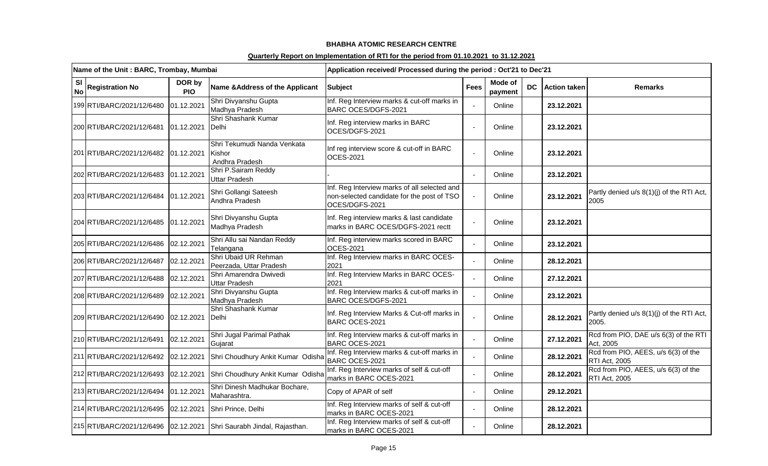|                        | Name of the Unit: BARC, Trombay, Mumbai |                      |                                                                      | Application received/ Processed during the period : Oct'21 to Dec'21                                         |             |                    |                 |                                                             |
|------------------------|-----------------------------------------|----------------------|----------------------------------------------------------------------|--------------------------------------------------------------------------------------------------------------|-------------|--------------------|-----------------|-------------------------------------------------------------|
| <b>SI</b><br><b>No</b> | <b>Registration No</b>                  | DOR by<br><b>PIO</b> | Name & Address of the Applicant                                      | <b>Subject</b>                                                                                               | <b>Fees</b> | Mode of<br>payment | DC Action taken | <b>Remarks</b>                                              |
|                        | 199 RTI/BARC/2021/12/6480               | 01.12.2021           | Shri Divyanshu Gupta<br>Madhya Pradesh                               | Inf. Reg Interview marks & cut-off marks in<br>BARC OCES/DGFS-2021                                           |             | Online             | 23.12.2021      |                                                             |
|                        | 200 RTI/BARC/2021/12/6481               | 01.12.2021           | Shri Shashank Kumar<br>Delhi                                         | Inf. Reg interview marks in BARC<br>OCES/DGFS-2021                                                           |             | Online             | 23.12.2021      |                                                             |
|                        | 201 RTI/BARC/2021/12/6482               | 01.12.2021           | Shri Tekumudi Nanda Venkata<br>Kishor<br>Andhra Pradesh              | Inf reg interview score & cut-off in BARC<br><b>OCES-2021</b>                                                |             | Online             | 23.12.2021      |                                                             |
|                        | 202 RTI/BARC/2021/12/6483               | 01.12.2021           | Shri P.Sairam Reddy<br><b>Uttar Pradesh</b>                          |                                                                                                              |             | Online             | 23.12.2021      |                                                             |
|                        | 203 RTI/BARC/2021/12/6484 01.12.2021    |                      | Shri Gollangi Sateesh<br>Andhra Pradesh                              | Inf. Reg Interview marks of all selected and<br>non-selected candidate for the post of TSO<br>OCES/DGFS-2021 |             | Online             | 23.12.2021      | Partly denied u/s 8(1)(j) of the RTI Act,<br>2005           |
|                        | 204 RTI/BARC/2021/12/6485               | 01.12.2021           | Shri Divyanshu Gupta<br>Madhya Pradesh                               | Inf. Reg interview marks & last candidate<br>marks in BARC OCES/DGFS-2021 rectt                              |             | Online             | 23.12.2021      |                                                             |
|                        | 205 RTI/BARC/2021/12/6486               | 02.12.2021           | Shri Allu sai Nandan Reddy<br>Telangana                              | Inf. Reg interview marks scored in BARC<br><b>OCES-2021</b>                                                  |             | Online             | 23.12.2021      |                                                             |
|                        | 206 RTI/BARC/2021/12/6487               | 02.12.2021           | Shri Ubaid UR Rehman<br>Peerzada, Uttar Pradesh                      | Inf. Reg Interview marks in BARC OCES-<br>2021                                                               |             | Online             | 28.12.2021      |                                                             |
|                        | 207 RTI/BARC/2021/12/6488               | 02.12.2021           | Shri Amarendra Dwivedi<br>Uttar Pradesh                              | Inf. Reg Interview Marks in BARC OCES-<br>2021                                                               |             | Online             | 27.12.2021      |                                                             |
|                        | 208 RTI/BARC/2021/12/6489               | 02.12.2021           | Shri Divyanshu Gupta<br>Madhya Pradesh                               | Inf. Reg Interview marks & cut-off marks in<br>BARC OCES/DGFS-2021                                           |             | Online             | 23.12.2021      |                                                             |
|                        | 209 RTI/BARC/2021/12/6490               | 02.12.2021           | Shri Shashank Kumar<br>Delhi                                         | Inf. Reg Interview Marks & Cut-off marks in<br>BARC OCES-2021                                                |             | Online             | 28.12.2021      | Partly denied u/s 8(1)(j) of the RTI Act,<br>2005.          |
|                        | 210 RTI/BARC/2021/12/6491               | 02.12.2021           | Shri Jugal Parimal Pathak<br>Gujarat                                 | Inf. Reg Interview marks & cut-off marks in<br>BARC OCES-2021                                                |             | Online             | 27.12.2021      | Rcd from PIO, DAE u/s 6(3) of the RTI<br>Act, 2005          |
|                        | 211 RTI/BARC/2021/12/6492               | 02.12.2021           | Shri Choudhury Ankit Kumar Odisha                                    | Inf. Reg Interview marks & cut-off marks in<br>BARC OCES-2021                                                |             | Online             | 28.12.2021      | Rcd from PIO, AEES, u/s 6(3) of the<br><b>RTI Act, 2005</b> |
|                        | 212 RTI/BARC/2021/12/6493               | 02.12.2021           | Shri Choudhury Ankit Kumar Odisha                                    | Inf. Reg Interview marks of self & cut-off<br>marks in BARC OCES-2021                                        |             | Online             | 28.12.2021      | Rcd from PIO, AEES, u/s 6(3) of the<br><b>RTI Act, 2005</b> |
|                        | 213 RTI/BARC/2021/12/6494               | 01.12.2021           | Shri Dinesh Madhukar Bochare,<br>Maharashtra.                        | Copy of APAR of self                                                                                         |             | Online             | 29.12.2021      |                                                             |
|                        | 214 RTI/BARC/2021/12/6495               | 02.12.2021           | Shri Prince, Delhi                                                   | Inf. Reg Interview marks of self & cut-off<br>marks in BARC OCES-2021                                        |             | Online             | 28.12.2021      |                                                             |
|                        |                                         |                      | 215 RTI/BARC/2021/12/6496 02.12.2021 Shri Saurabh Jindal, Rajasthan. | Inf. Reg Interview marks of self & cut-off<br>marks in BARC OCES-2021                                        |             | Online             | 28.12.2021      |                                                             |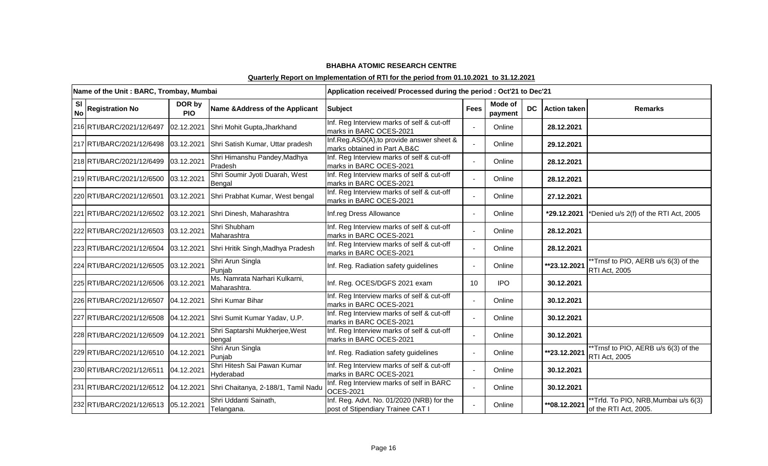|                        | Name of the Unit: BARC, Trombay, Mumbai               |                      |                                                                          | Application received/ Processed during the period : Oct'21 to Dec'21           |             |                    |           |                     |                                                              |
|------------------------|-------------------------------------------------------|----------------------|--------------------------------------------------------------------------|--------------------------------------------------------------------------------|-------------|--------------------|-----------|---------------------|--------------------------------------------------------------|
| <b>SI</b><br><b>No</b> | <b>Registration No</b>                                | DOR by<br><b>PIO</b> | Name & Address of the Applicant                                          | <b>Subject</b>                                                                 | <b>Fees</b> | Mode of<br>payment | <b>DC</b> | <b>Action taken</b> | <b>Remarks</b>                                               |
|                        | 216 RTI/BARC/2021/12/6497                             | 02.12.2021           | Shri Mohit Gupta, Jharkhand                                              | Inf. Reg Interview marks of self & cut-off<br>marks in BARC OCES-2021          |             | Online             |           | 28.12.2021          |                                                              |
|                        | 217 RTI/BARC/2021/12/6498                             | 03.12.2021           | Shri Satish Kumar, Uttar pradesh                                         | Inf.Reg.ASO(A), to provide answer sheet &<br>marks obtained in Part A, B&C     |             | Online             |           | 29.12.2021          |                                                              |
|                        | 218 RTI/BARC/2021/12/6499                             | 03.12.2021           | Shri Himanshu Pandey, Madhya<br>Pradesh                                  | Inf. Reg Interview marks of self & cut-off<br>marks in BARC OCES-2021          |             | Online             |           | 28.12.2021          |                                                              |
|                        | 219 RTI/BARC/2021/12/6500 03.12.2021                  |                      | Shri Soumir Jyoti Duarah, West<br>Bengal                                 | Inf. Reg Interview marks of self & cut-off<br>marks in BARC OCES-2021          |             | Online             |           | 28.12.2021          |                                                              |
|                        | 220 RTI/BARC/2021/12/6501 03.12.2021                  |                      | Shri Prabhat Kumar, West bengal                                          | Inf. Reg Interview marks of self & cut-off<br>marks in BARC OCES-2021          |             | Online             |           | 27.12.2021          |                                                              |
|                        | 221 RTI/BARC/2021/12/6502 03.12.2021                  |                      | Shri Dinesh, Maharashtra                                                 | Inf.reg Dress Allowance                                                        |             | Online             |           | *29.12.2021         | *Denied u/s 2(f) of the RTI Act, 2005                        |
|                        | 222 RTI/BARC/2021/12/6503 03.12.2021                  |                      | Shri Shubham<br>Maharashtra                                              | Inf. Reg Interview marks of self & cut-off<br>marks in BARC OCES-2021          |             | Online             |           | 28.12.2021          |                                                              |
|                        | 223 RTI/BARC/2021/12/6504 03.12.2021                  |                      | Shri Hritik Singh, Madhya Pradesh                                        | Inf. Reg Interview marks of self & cut-off<br>marks in BARC OCES-2021          |             | Online             |           | 28.12.2021          |                                                              |
|                        | 224 RTI/BARC/2021/12/6505 03.12.2021                  |                      | Shri Arun Singla<br>Punjab                                               | Inf. Reg. Radiation safety guidelines                                          |             | Online             |           | **23.12.2021        | **Trnsf to PIO, AERB u/s 6(3) of the<br>RTI Act, 2005        |
|                        | 225 RTI/BARC/2021/12/6506 03.12.2021                  |                      | Ms. Namrata Narhari Kulkarni,<br>Maharashtra.                            | Inf. Reg. OCES/DGFS 2021 exam                                                  | 10          | <b>IPO</b>         |           | 30.12.2021          |                                                              |
|                        | 226 RTI/BARC/2021/12/6507 04.12.2021 Shri Kumar Bihar |                      |                                                                          | Inf. Reg Interview marks of self & cut-off<br>marks in BARC OCES-2021          |             | Online             |           | 30.12.2021          |                                                              |
|                        |                                                       |                      | 227 RTI/BARC/2021/12/6508 04.12.2021 Shri Sumit Kumar Yadav, U.P.        | Inf. Reg Interview marks of self & cut-off<br>marks in BARC OCES-2021          |             | Online             |           | 30.12.2021          |                                                              |
|                        | 228 RTI/BARC/2021/12/6509 04.12.2021                  |                      | Shri Saptarshi Mukherjee, West<br>bengal                                 | Inf. Reg Interview marks of self & cut-off<br>marks in BARC OCES-2021          |             | Online             |           | 30.12.2021          |                                                              |
|                        | 229 RTI/BARC/2021/12/6510 04.12.2021                  |                      | Shri Arun Singla<br>Punjab                                               | Inf. Reg. Radiation safety guidelines                                          |             | Online             |           | **23.12.2021        | *Trnsf to PIO, AERB u/s 6(3) of the<br><b>RTI Act, 2005</b>  |
|                        | 230 RTI/BARC/2021/12/6511 04.12.2021                  |                      | Shri Hitesh Sai Pawan Kumar<br>Hyderabad                                 | Inf. Reg Interview marks of self & cut-off<br>marks in BARC OCES-2021          |             | Online             |           | 30.12.2021          |                                                              |
|                        |                                                       |                      | 231 RTI/BARC/2021/12/6512 04.12.2021 Shri Chaitanya, 2-188/1, Tamil Nadu | Inf. Reg Interview marks of self in BARC<br><b>OCES-2021</b>                   |             | Online             |           | 30.12.2021          |                                                              |
|                        | 232 RTI/BARC/2021/12/6513 05.12.2021                  |                      | Shri Uddanti Sainath,<br>Telangana.                                      | Inf. Reg. Advt. No. 01/2020 (NRB) for the<br>post of Stipendiary Trainee CAT I |             | Online             |           | ** 08.12.2021       | *Trfd. To PIO, NRB, Mumbai u/s 6(3)<br>of the RTI Act, 2005. |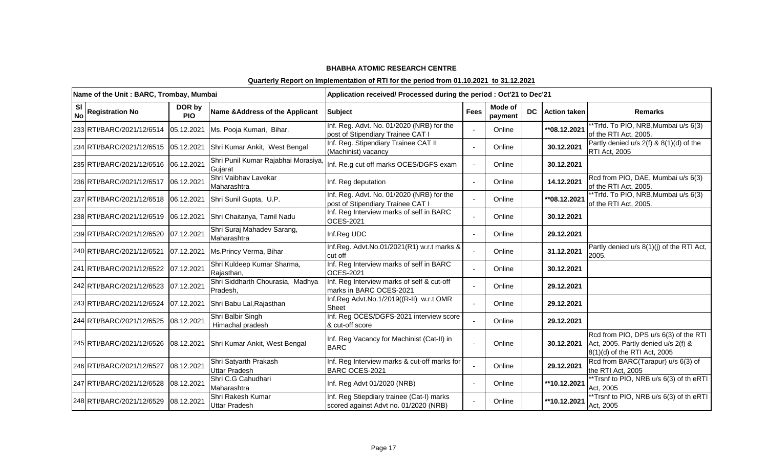|    | Name of the Unit: BARC, Trombay, Mumbai |                      |                                               | Application received/ Processed during the period : Oct'21 to Dec'21               |                |                    |    |                     |                                                                                                              |
|----|-----------------------------------------|----------------------|-----------------------------------------------|------------------------------------------------------------------------------------|----------------|--------------------|----|---------------------|--------------------------------------------------------------------------------------------------------------|
| SI | No Registration No                      | DOR by<br><b>PIO</b> | Name & Address of the Applicant               | <b>Subject</b>                                                                     | <b>Fees</b>    | Mode of<br>payment | DC | <b>Action taken</b> | <b>Remarks</b>                                                                                               |
|    | 233 RTI/BARC/2021/12/6514               | 05.12.2021           | Ms. Pooja Kumari, Bihar.                      | Inf. Reg. Advt. No. 01/2020 (NRB) for the<br>post of Stipendiary Trainee CAT I     |                | Online             |    | **08.12.2021        | **Trfd. To PIO, NRB, Mumbai u/s 6(3)<br>of the RTI Act, 2005.                                                |
|    | 234 RTI/BARC/2021/12/6515               | 05.12.2021           | Shri Kumar Ankit, West Bengal                 | Inf. Reg. Stipendiary Trainee CAT II<br>(Machinist) vacancy                        | $\sim$         | Online             |    | 30.12.2021          | Partly denied $u/s$ 2(f) & 8(1)(d) of the<br>RTI Act, 2005                                                   |
|    | 235 RTI/BARC/2021/12/6516               | 06.12.2021           | Shri Punil Kumar Rajabhai Morasiya<br>Gujarat | Inf. Re.g cut off marks OCES/DGFS exam                                             | $\blacksquare$ | Online             |    | 30.12.2021          |                                                                                                              |
|    | 236 RTI/BARC/2021/12/6517               | 06.12.2021           | Shri Vaibhav Lavekar<br>Maharashtra           | Inf. Reg deputation                                                                |                | Online             |    | 14.12.2021          | Rcd from PIO, DAE, Mumbai u/s 6(3)<br>of the RTI Act, 2005.                                                  |
|    | 237 RTI/BARC/2021/12/6518               | 06.12.2021           | Shri Sunil Gupta, U.P.                        | Inf. Reg. Advt. No. 01/2020 (NRB) for the<br>post of Stipendiary Trainee CAT I     | $\mathbf{r}$   | Online             |    | **08.12.2021        | *Trfd. To PIO, NRB, Mumbai u/s 6(3)<br>of the RTI Act, 2005.                                                 |
|    | 238 RTI/BARC/2021/12/6519               | 06.12.2021           | Shri Chaitanya, Tamil Nadu                    | Inf. Reg Interview marks of self in BARC<br><b>OCES-2021</b>                       |                | Online             |    | 30.12.2021          |                                                                                                              |
|    | 239 RTI/BARC/2021/12/6520               | 07.12.2021           | Shri Suraj Mahadev Sarang,<br>Maharashtra     | Inf.Reg UDC                                                                        | $\sim$         | Online             |    | 29.12.2021          |                                                                                                              |
|    | 240 RTI/BARC/2021/12/6521               | 07.12.2021           | Ms.Princy Verma, Bihar                        | Inf.Reg. Advt.No.01/2021(R1) w.r.t marks &<br>cut off                              |                | Online             |    | 31.12.2021          | Partly denied u/s 8(1)(j) of the RTI Act,<br>2005.                                                           |
|    | 241 RTI/BARC/2021/12/6522               | 07.12.2021           | Shri Kuldeep Kumar Sharma,<br>Rajasthan,      | Inf. Reg Interview marks of self in BARC<br><b>OCES-2021</b>                       |                | Online             |    | 30.12.2021          |                                                                                                              |
|    | 242 RTI/BARC/2021/12/6523               | 07.12.2021           | Shri Siddharth Chourasia, Madhya<br>Pradesh,  | Inf. Reg Interview marks of self & cut-off<br>marks in BARC OCES-2021              |                | Online             |    | 29.12.2021          |                                                                                                              |
|    | 243 RTI/BARC/2021/12/6524               | 07.12.2021           | Shri Babu Lal, Rajasthan                      | Inf.Reg Advt.No.1/2019((R-II) w.r.t OMR<br>Sheet                                   | $\overline{a}$ | Online             |    | 29.12.2021          |                                                                                                              |
|    | 244 RTI/BARC/2021/12/6525               | 08.12.2021           | Shri Balbir Singh<br>Himachal pradesh         | Inf. Reg OCES/DGFS-2021 interview score<br>& cut-off score                         |                | Online             |    | 29.12.2021          |                                                                                                              |
|    | 245 RTI/BARC/2021/12/6526               | 08.12.2021           | Shri Kumar Ankit, West Bengal                 | Inf. Reg Vacancy for Machinist (Cat-II) in<br><b>BARC</b>                          |                | Online             |    | 30.12.2021          | Rcd from PIO, DPS u/s 6(3) of the RTI<br>Act, 2005. Partly denied u/s 2(f) &<br>8(1)(d) of the RTI Act, 2005 |
|    | 246 RTI/BARC/2021/12/6527               | 08.12.2021           | Shri Satyarth Prakash<br><b>Uttar Pradesh</b> | Inf. Reg Interview marks & cut-off marks for<br>BARC OCES-2021                     |                | Online             |    | 29.12.2021          | Rcd from BARC(Tarapur) u/s 6(3) of<br>the RTI Act, 2005                                                      |
|    | 247 RTI/BARC/2021/12/6528               | 08.12.2021           | Shri C.G Cahudhari<br>Maharashtra             | Inf. Reg Advt 01/2020 (NRB)                                                        |                | Online             |    | **10.12.2021        | **Trsnf to PIO, NRB u/s 6(3) of th eRTI<br>Act, 2005                                                         |
|    | 248 RTI/BARC/2021/12/6529               | 08.12.2021           | Shri Rakesh Kumar<br><b>Uttar Pradesh</b>     | Inf. Reg Stiepdiary trainee (Cat-I) marks<br>scored against Advt no. 01/2020 (NRB) |                | Online             |    | **10.12.2021        | **Trsnf to PIO, NRB u/s 6(3) of th eRTI<br>Act, 2005                                                         |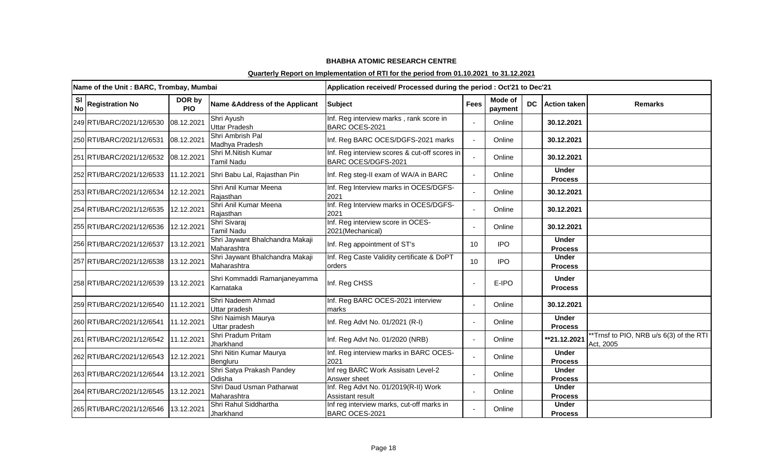|                        | Name of the Unit: BARC, Trombay, Mumbai |                      |                                                | Application received/ Processed during the period : Oct'21 to Dec'21 |             |                    |    |                                |                                                      |
|------------------------|-----------------------------------------|----------------------|------------------------------------------------|----------------------------------------------------------------------|-------------|--------------------|----|--------------------------------|------------------------------------------------------|
| <b>SI</b><br><b>No</b> | <b>Registration No</b>                  | DOR by<br><b>PIO</b> | Name & Address of the Applicant                | <b>Subject</b>                                                       | <b>Fees</b> | Mode of<br>payment | DC | <b>Action taken</b>            | <b>Remarks</b>                                       |
|                        | 249 RTI/BARC/2021/12/6530               | 08.12.2021           | Shri Ayush<br>Uttar Pradesh                    | Inf. Reg interview marks, rank score in<br>BARC OCES-2021            |             | Online             |    | 30.12.2021                     |                                                      |
|                        | 250 RTI/BARC/2021/12/6531               | 08.12.2021           | Shri Ambrish Pal<br>Madhya Pradesh             | Inf. Reg BARC OCES/DGFS-2021 marks                                   |             | Online             |    | 30.12.2021                     |                                                      |
|                        | 251 RTI/BARC/2021/12/6532               | 08.12.2021           | Shri M.Nitish Kumar<br>Tamil Nadu              | Inf. Reg interview scores & cut-off scores in<br>BARC OCES/DGFS-2021 |             | Online             |    | 30.12.2021                     |                                                      |
|                        | 252 RTI/BARC/2021/12/6533               | 11.12.2021           | Shri Babu Lal, Rajasthan Pin                   | Inf. Reg steg-II exam of WA/A in BARC                                |             | Online             |    | <b>Under</b><br><b>Process</b> |                                                      |
|                        | 253 RTI/BARC/2021/12/6534               | 12.12.2021           | Shri Anil Kumar Meena<br>Rajasthan             | Inf. Reg Interview marks in OCES/DGFS-<br>2021                       |             | Online             |    | 30.12.2021                     |                                                      |
|                        | 254 RTI/BARC/2021/12/6535               | 12.12.2021           | Shri Anil Kumar Meena<br>Rajasthan             | Inf. Reg Interview marks in OCES/DGFS-<br>2021                       |             | Online             |    | 30.12.2021                     |                                                      |
|                        | 255 RTI/BARC/2021/12/6536               | 12.12.2021           | Shri Sivaraj<br>Tamil Nadu                     | Inf. Reg interview score in OCES-<br>2021(Mechanical)                |             | Online             |    | 30.12.2021                     |                                                      |
|                        | 256 RTI/BARC/2021/12/6537               | 13.12.2021           | Shri Jaywant Bhalchandra Makaji<br>Maharashtra | Inf. Reg appointment of ST's                                         | 10          | <b>IPO</b>         |    | <b>Under</b><br><b>Process</b> |                                                      |
|                        | 257 RTI/BARC/2021/12/6538               | 13.12.2021           | Shri Jaywant Bhalchandra Makaji<br>Maharashtra | Inf. Reg Caste Validity certificate & DoPT<br>orders                 | 10          | <b>IPO</b>         |    | <b>Under</b><br><b>Process</b> |                                                      |
|                        | 258 RTI/BARC/2021/12/6539               | 13.12.2021           | Shri Kommaddi Ramanjaneyamma<br>Karnataka      | Inf. Reg CHSS                                                        |             | E-IPO              |    | <b>Under</b><br><b>Process</b> |                                                      |
|                        | 259 RTI/BARC/2021/12/6540               | 11.12.2021           | Shri Nadeem Ahmad<br>Uttar pradesh             | Inf. Reg BARC OCES-2021 interview<br>marks                           |             | Online             |    | 30.12.2021                     |                                                      |
|                        | 260 RTI/BARC/2021/12/6541               | 11.12.2021           | Shri Naimish Maurya<br>Uttar pradesh           | Inf. Reg Advt No. 01/2021 (R-I)                                      |             | Online             |    | <b>Under</b><br><b>Process</b> |                                                      |
|                        | 261 RTI/BARC/2021/12/6542               | 11.12.2021           | Shri Pradum Pritam<br>Jharkhand                | Inf. Reg Advt No. 01/2020 (NRB)                                      |             | Online             |    | **21.12.2021                   | **Trnsf to PIO, NRB u/s 6(3) of the RTI<br>Act, 2005 |
|                        | 262 RTI/BARC/2021/12/6543               | 12.12.2021           | Shri Nitin Kumar Maurya<br>Bengluru            | Inf. Reg interview marks in BARC OCES-<br>2021                       |             | Online             |    | <b>Under</b><br><b>Process</b> |                                                      |
|                        | 263 RTI/BARC/2021/12/6544               | 13.12.2021           | Shri Satya Prakash Pandey<br>Odisha            | Inf reg BARC Work Assisatn Level-2<br>Answer sheet                   |             | Online             |    | <b>Under</b><br><b>Process</b> |                                                      |
|                        | 264 RTI/BARC/2021/12/6545               | 13.12.2021           | Shri Daud Usman Patharwat<br>Maharashtra       | Inf. Reg Advt No. 01/2019(R-II) Work<br><b>Assistant result</b>      |             | Online             |    | <b>Under</b><br><b>Process</b> |                                                      |
|                        | 265 RTI/BARC/2021/12/6546               | 13.12.2021           | Shri Rahul Siddhartha<br>Jharkhand             | Inf reg interview marks, cut-off marks in<br>BARC OCES-2021          |             | Online             |    | <b>Under</b><br><b>Process</b> |                                                      |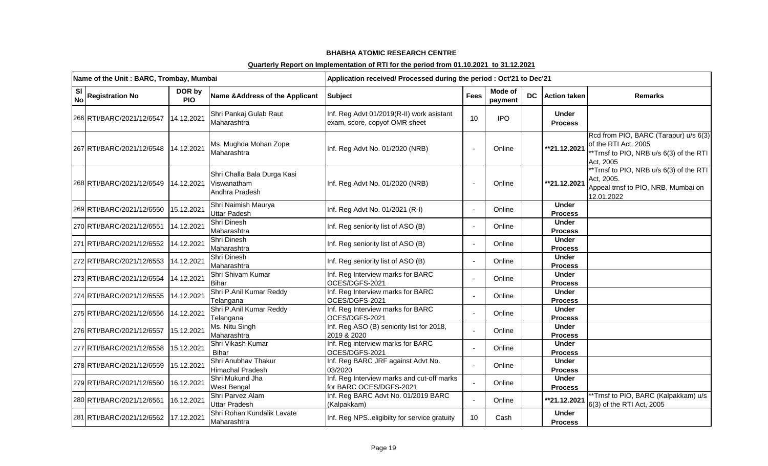|                        | Name of the Unit: BARC, Trombay, Mumbai |                      |                                                              | Application received/ Processed during the period : Oct'21 to Dec'21       |             |                    |    |                                |                                                                                                                      |
|------------------------|-----------------------------------------|----------------------|--------------------------------------------------------------|----------------------------------------------------------------------------|-------------|--------------------|----|--------------------------------|----------------------------------------------------------------------------------------------------------------------|
| <b>SI</b><br><b>No</b> | <b>Registration No</b>                  | DOR by<br><b>PIO</b> | Name & Address of the Applicant                              | <b>Subject</b>                                                             | <b>Fees</b> | Mode of<br>payment | DC | <b>Action taken</b>            | <b>Remarks</b>                                                                                                       |
|                        | 266 RTI/BARC/2021/12/6547               | 14.12.2021           | Shri Pankaj Gulab Raut<br>Maharashtra                        | Inf. Reg Advt 01/2019(R-II) work asistant<br>exam, score, copyof OMR sheet | 10          | <b>IPO</b>         |    | <b>Under</b><br><b>Process</b> |                                                                                                                      |
|                        | 267 RTI/BARC/2021/12/6548               | 14.12.2021           | Ms. Mughda Mohan Zope<br>Maharashtra                         | Inf. Reg Advt No. 01/2020 (NRB)                                            |             | Online             |    | **21.12.2021                   | Rcd from PIO, BARC (Tarapur) u/s 6(3)<br>of the RTI Act, 2005<br>*Trnsf to PIO, NRB u/s 6(3) of the RTI<br>Act, 2005 |
|                        | 268 RTI/BARC/2021/12/6549               | 14.12.2021           | Shri Challa Bala Durga Kasi<br>Viswanatham<br>Andhra Pradesh | Inf. Reg Advt No. 01/2020 (NRB)                                            |             | Online             |    | **21.12.2021                   | **Trnsf to PIO, NRB u/s 6(3) of the RTI<br>Act, 2005.<br>Appeal trnsf to PIO, NRB, Mumbai on<br>12.01.2022           |
|                        | 269 RTI/BARC/2021/12/6550               | 15.12.2021           | Shri Naimish Maurya<br>Uttar Padesh                          | Inf. Reg Advt No. 01/2021 (R-I)                                            |             | Online             |    | <b>Under</b><br><b>Process</b> |                                                                                                                      |
|                        | 270 RTI/BARC/2021/12/6551               | 14.12.2021           | Shri Dinesh<br>Maharashtra                                   | Inf. Reg seniority list of ASO (B)                                         |             | Online             |    | <b>Under</b><br><b>Process</b> |                                                                                                                      |
|                        | 271 RTI/BARC/2021/12/6552               | 14.12.2021           | Shri Dinesh<br>Maharashtra                                   | Inf. Reg seniority list of ASO (B)                                         |             | Online             |    | <b>Under</b><br><b>Process</b> |                                                                                                                      |
|                        | 272 RTI/BARC/2021/12/6553               | 14.12.2021           | Shri Dinesh<br>Maharashtra                                   | Inf. Reg seniority list of ASO (B)                                         |             | Online             |    | <b>Under</b><br><b>Process</b> |                                                                                                                      |
|                        | 273 RTI/BARC/2021/12/6554               | 14.12.2021           | Shri Shivam Kumar<br><b>Bihar</b>                            | Inf. Reg Interview marks for BARC<br>OCES/DGFS-2021                        |             | Online             |    | <b>Under</b><br><b>Process</b> |                                                                                                                      |
|                        | 274 RTI/BARC/2021/12/6555               | 14.12.2021           | Shri P.Anil Kumar Reddy<br>Telangana                         | Inf. Reg Interview marks for BARC<br>OCES/DGFS-2021                        |             | Online             |    | <b>Under</b><br><b>Process</b> |                                                                                                                      |
|                        | 275 RTI/BARC/2021/12/6556               | 14.12.2021           | Shri P.Anil Kumar Reddy<br>Telangana                         | Inf. Reg Interview marks for BARC<br>OCES/DGFS-2021                        |             | Online             |    | <b>Under</b><br><b>Process</b> |                                                                                                                      |
|                        | 276 RTI/BARC/2021/12/6557               | 15.12.2021           | Ms. Nitu Singh<br>Maharashtra                                | Inf. Reg ASO (B) seniority list for 2018,<br>2019 & 2020                   |             | Online             |    | <b>Under</b><br><b>Process</b> |                                                                                                                      |
|                        | 277 RTI/BARC/2021/12/6558               | 15.12.2021           | Shri Vikash Kumar<br><b>Bihar</b>                            | Inf. Reg interview marks for BARC<br>OCES/DGFS-2021                        |             | Online             |    | <b>Under</b><br><b>Process</b> |                                                                                                                      |
|                        | 278 RTI/BARC/2021/12/6559               | 15.12.2021           | Shri Anubhav Thakur<br>Himachal Pradesh                      | Inf. Reg BARC JRF against Advt No.<br>03/2020                              |             | Online             |    | <b>Under</b><br><b>Process</b> |                                                                                                                      |
|                        | 279 RTI/BARC/2021/12/6560               | 16.12.2021           | Shri Mukund Jha<br><b>West Bengal</b>                        | Inf. Reg Interview marks and cut-off marks<br>for BARC OCES/DGFS-2021      |             | Online             |    | <b>Under</b><br><b>Process</b> |                                                                                                                      |
|                        | 280 RTI/BARC/2021/12/6561               | 16.12.2021           | Shri Parvez Alam<br><b>Uttar Pradesh</b>                     | Inf. Reg BARC Advt No. 01/2019 BARC<br>(Kalpakkam)                         |             | Online             |    | **21.12.2021                   | **Trnsf to PIO, BARC (Kalpakkam) u/s<br>6(3) of the RTI Act, 2005                                                    |
|                        | 281 RTI/BARC/2021/12/6562               | 17.12.2021           | Shri Rohan Kundalik Lavate<br>Maharashtra                    | Inf. Reg NPS. eligibilty for service gratuity                              | 10          | Cash               |    | <b>Under</b><br><b>Process</b> |                                                                                                                      |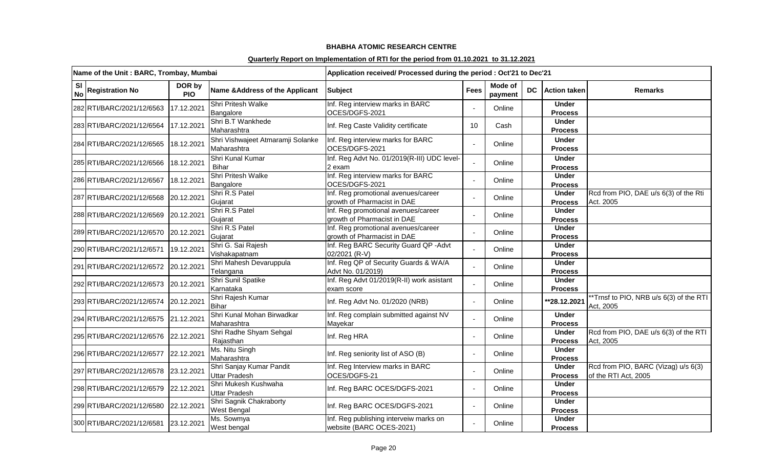|                        | Name of the Unit: BARC, Trombay, Mumbai |                      |                                                  | Application received/ Processed during the period : Oct'21 to Dec'21 |             |                    |     |                                |                                                             |
|------------------------|-----------------------------------------|----------------------|--------------------------------------------------|----------------------------------------------------------------------|-------------|--------------------|-----|--------------------------------|-------------------------------------------------------------|
| <b>SI</b><br><b>No</b> | <b>Registration No</b>                  | DOR by<br><b>PIO</b> | Name & Address of the Applicant                  | <b>Subject</b>                                                       | <b>Fees</b> | Mode of<br>payment | DC. | <b>Action taken</b>            | <b>Remarks</b>                                              |
|                        | 282 RTI/BARC/2021/12/6563               | 17.12.2021           | <b>Shri Pritesh Walke</b><br>Bangalore           | Inf. Reg interview marks in BARC<br>OCES/DGFS-2021                   |             | Online             |     | <b>Under</b><br><b>Process</b> |                                                             |
|                        | 283 RTI/BARC/2021/12/6564               | 17.12.2021           | Shri B.T Wankhede<br>Maharashtra                 | Inf. Reg Caste Validity certificate                                  | 10          | Cash               |     | <b>Under</b><br><b>Process</b> |                                                             |
|                        | 284 RTI/BARC/2021/12/6565               | 18.12.2021           | Shri Vishwajeet Atmaramji Solanke<br>Maharashtra | Inf. Reg interview marks for BARC<br>OCES/DGFS-2021                  |             | Online             |     | <b>Under</b><br><b>Process</b> |                                                             |
|                        | 285 RTI/BARC/2021/12/6566               | 18.12.2021           | Shri Kunal Kumar<br><b>Bihar</b>                 | Inf. Reg Advt No. 01/2019(R-III) UDC level-<br>2 exam                |             | Online             |     | <b>Under</b><br><b>Process</b> |                                                             |
|                        | 286 RTI/BARC/2021/12/6567               | 18.12.2021           | <b>Shri Pritesh Walke</b><br>Bangalore           | Inf. Reg interview marks for BARC<br>OCES/DGFS-2021                  |             | Online             |     | <b>Under</b><br><b>Process</b> |                                                             |
|                        | 287 RTI/BARC/2021/12/6568 20.12.2021    |                      | Shri R.S Patel<br>Gujarat                        | Inf. Reg promotional avenues/career<br>growth of Pharmacist in DAE   |             | Online             |     | <b>Under</b><br><b>Process</b> | Rcd from PIO, DAE u/s 6(3) of the Rti<br>Act. 2005          |
|                        | 288 RTI/BARC/2021/12/6569               | 20.12.2021           | Shri R.S Patel<br>Gujarat                        | Inf. Reg promotional avenues/career<br>growth of Pharmacist in DAE   |             | Online             |     | <b>Under</b><br><b>Process</b> |                                                             |
|                        | 289 RTI/BARC/2021/12/6570 20.12.2021    |                      | Shri R.S Patel<br>Gujarat                        | Inf. Reg promotional avenues/career<br>growth of Pharmacist in DAE   |             | Online             |     | <b>Under</b><br><b>Process</b> |                                                             |
|                        | 290 RTI/BARC/2021/12/6571               | 19.12.2021           | Shri G. Sai Rajesh<br>Vishakapatnam              | Inf. Reg BARC Security Guard QP -Advt<br>02/2021 (R-V)               |             | Online             |     | <b>Under</b><br><b>Process</b> |                                                             |
|                        | 291 RTI/BARC/2021/12/6572 20.12.2021    |                      | Shri Mahesh Devaruppula<br>Telangana             | Inf. Reg QP of Security Guards & WA/A<br>Advt No. 01/2019)           |             | Online             |     | <b>Under</b><br><b>Process</b> |                                                             |
|                        | 292 RTI/BARC/2021/12/6573 20.12.2021    |                      | Shri Sunil Spatike<br>Karnataka                  | Inf. Reg Advt 01/2019(R-II) work asistant<br>exam score              |             | Online             |     | <b>Under</b><br><b>Process</b> |                                                             |
|                        | 293 RTI/BARC/2021/12/6574 20.12.2021    |                      | Shri Rajesh Kumar<br><b>Bihar</b>                | Inf. Reg Advt No. 01/2020 (NRB)                                      |             | Online             |     | **28.12.2021                   | **Trnsf to PIO, NRB u/s 6(3) of the RTI<br>Act, 2005        |
|                        | 294 RTI/BARC/2021/12/6575 21.12.2021    |                      | Shri Kunal Mohan Birwadkar<br>Maharashtra        | Inf. Reg complain submitted against NV<br>Mayekar                    |             | Online             |     | <b>Under</b><br><b>Process</b> |                                                             |
|                        | 295 RTI/BARC/2021/12/6576 22.12.2021    |                      | Shri Radhe Shyam Sehgal<br>Rajasthan             | Inf. Reg HRA                                                         |             | Online             |     | <b>Under</b><br><b>Process</b> | Rcd from PIO, DAE u/s 6(3) of the RTI<br>Act, 2005          |
|                        | 296 RTI/BARC/2021/12/6577 22.12.2021    |                      | Ms. Nitu Singh<br>Maharashtra                    | Inf. Reg seniority list of ASO (B)                                   |             | Online             |     | <b>Under</b><br><b>Process</b> |                                                             |
|                        | 297 RTI/BARC/2021/12/6578               | 23.12.2021           | Shri Sanjay Kumar Pandit<br><b>Uttar Pradesh</b> | Inf. Reg Interview marks in BARC<br>OCES/DGFS-21                     |             | Online             |     | <b>Under</b><br><b>Process</b> | Rcd from PIO, BARC (Vizag) u/s 6(3)<br>of the RTI Act, 2005 |
|                        | 298 RTI/BARC/2021/12/6579               | 22.12.2021           | Shri Mukesh Kushwaha<br><b>Uttar Pradesh</b>     | Inf. Reg BARC OCES/DGFS-2021                                         |             | Online             |     | <b>Under</b><br><b>Process</b> |                                                             |
|                        | 299 RTI/BARC/2021/12/6580 22.12.2021    |                      | Shri Sagnik Chakraborty<br><b>West Bengal</b>    | Inf. Reg BARC OCES/DGFS-2021                                         |             | Online             |     | <b>Under</b><br><b>Process</b> |                                                             |
|                        | 300 RTI/BARC/2021/12/6581 23.12.2021    |                      | Ms. Sowmya<br>West bengal                        | Inf. Reg publishing interveiw marks on<br>website (BARC OCES-2021)   |             | Online             |     | <b>Under</b><br><b>Process</b> |                                                             |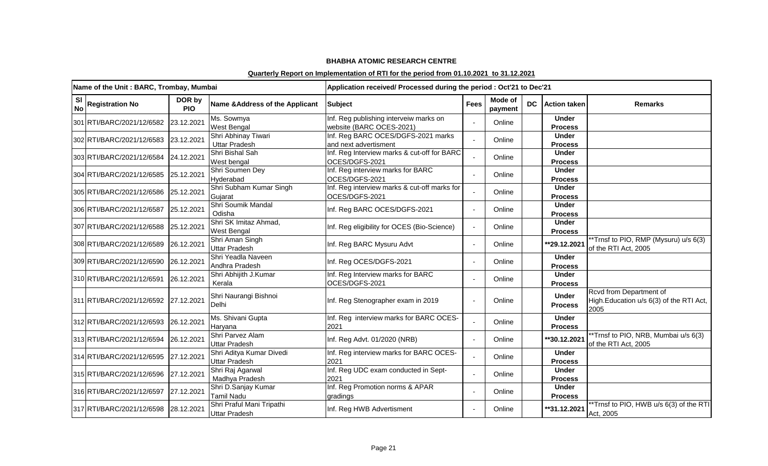|                        | Name of the Unit: BARC, Trombay, Mumbai |                      |                                                   | Application received/ Processed during the period : Oct'21 to Dec'21 |             |                    |           |                                |                                                                            |
|------------------------|-----------------------------------------|----------------------|---------------------------------------------------|----------------------------------------------------------------------|-------------|--------------------|-----------|--------------------------------|----------------------------------------------------------------------------|
| <b>SI</b><br><b>No</b> | <b>Registration No</b>                  | DOR by<br><b>PIO</b> | Name & Address of the Applicant                   | <b>Subject</b>                                                       | <b>Fees</b> | Mode of<br>payment | <b>DC</b> | <b>Action taken</b>            | <b>Remarks</b>                                                             |
|                        | 301 RTI/BARC/2021/12/6582               | 23.12.2021           | Ms. Sowmya<br>West Bengal                         | Inf. Reg publishing interveiw marks on<br>website (BARC OCES-2021)   |             | Online             |           | <b>Under</b><br><b>Process</b> |                                                                            |
|                        | 302 RTI/BARC/2021/12/6583               | 23.12.2021           | Shri Abhinay Tiwari<br><b>Uttar Pradesh</b>       | Inf. Reg BARC OCES/DGFS-2021 marks<br>and next advertisment          |             | Online             |           | <b>Under</b><br><b>Process</b> |                                                                            |
|                        | 303 RTI/BARC/2021/12/6584               | 24.12.2021           | Shri Bishal Sah<br>West bengal                    | Inf. Reg Interview marks & cut-off for BARC<br>OCES/DGFS-2021        |             | Online             |           | <b>Under</b><br><b>Process</b> |                                                                            |
|                        | 304 RTI/BARC/2021/12/6585               | 25.12.2021           | Shri Soumen Dey<br>Hyderabad                      | Inf. Reg interview marks for BARC<br>OCES/DGFS-2021                  |             | Online             |           | <b>Under</b><br><b>Process</b> |                                                                            |
|                        | 305 RTI/BARC/2021/12/6586               | 25.12.2021           | Shri Subham Kumar Singh<br>Gujarat                | Inf. Reg interview marks & cut-off marks for<br>OCES/DGFS-2021       |             | Online             |           | <b>Under</b><br><b>Process</b> |                                                                            |
|                        | 306 RTI/BARC/2021/12/6587               | 25.12.2021           | Shri Soumik Mandal<br>Odisha                      | Inf. Reg BARC OCES/DGFS-2021                                         |             | Online             |           | <b>Under</b><br><b>Process</b> |                                                                            |
|                        | 307 RTI/BARC/2021/12/6588               | 25.12.2021           | Shri SK Imitaz Ahmad,<br>West Bengal              | Inf. Reg eligibility for OCES (Bio-Science)                          |             | Online             |           | <b>Under</b><br><b>Process</b> |                                                                            |
|                        | 308 RTI/BARC/2021/12/6589               | 26.12.2021           | Shri Aman Singh<br><b>Uttar Pradesh</b>           | Inf. Reg BARC Mysuru Advt                                            |             | Online             |           | **29.12.2021                   | **Trnsf to PIO, RMP (Mysuru) u/s 6(3)<br>of the RTI Act, 2005              |
|                        | 309 RTI/BARC/2021/12/6590               | 26.12.2021           | Shri Yeadla Naveen<br>Andhra Pradesh              | Inf. Reg OCES/DGFS-2021                                              |             | Online             |           | <b>Under</b><br><b>Process</b> |                                                                            |
|                        | 310 RTI/BARC/2021/12/6591               | 26.12.2021           | Shri Abhijith J.Kumar<br>Kerala                   | Inf. Reg Interview marks for BARC<br>OCES/DGFS-2021                  |             | Online             |           | <b>Under</b><br><b>Process</b> |                                                                            |
|                        | 311 RTI/BARC/2021/12/6592               | 27.12.2021           | Shri Naurangi Bishnoi<br><b>Delhi</b>             | Inf. Reg Stenographer exam in 2019                                   |             | Online             |           | <b>Under</b><br><b>Process</b> | Rcvd from Department of<br>High.Education u/s 6(3) of the RTI Act,<br>2005 |
|                        | 312 RTI/BARC/2021/12/6593               | 26.12.2021           | Ms. Shivani Gupta<br>Haryana                      | Inf. Reg interview marks for BARC OCES-<br>2021                      |             | Online             |           | <b>Under</b><br><b>Process</b> |                                                                            |
|                        | 313 RTI/BARC/2021/12/6594               | 26.12.2021           | Shri Parvez Alam<br>Uttar Pradesh                 | Inf. Reg Advt. 01/2020 (NRB)                                         |             | Online             |           | **30.12.2021                   | **Trnsf to PIO, NRB, Mumbai u/s 6(3)<br>of the RTI Act, 2005               |
|                        | 314 RTI/BARC/2021/12/6595               | 27.12.2021           | Shri Aditya Kumar Divedi<br><b>Uttar Pradesh</b>  | Inf. Reg interview marks for BARC OCES-<br>2021                      |             | Online             |           | <b>Under</b><br><b>Process</b> |                                                                            |
|                        | 315 RTI/BARC/2021/12/6596               | 27.12.2021           | Shri Raj Agarwal<br>Madhya Pradesh                | Inf. Reg UDC exam conducted in Sept-<br>2021                         |             | Online             |           | <b>Under</b><br><b>Process</b> |                                                                            |
|                        | 316 RTI/BARC/2021/12/6597               | 27.12.2021           | Shri D.Sanjay Kumar<br>Tamil Nadu                 | Inf. Reg Promotion norms & APAR<br>gradings                          |             | Online             |           | <b>Under</b><br><b>Process</b> |                                                                            |
|                        | 317 RTI/BARC/2021/12/6598 28.12.2021    |                      | Shri Praful Mani Tripathi<br><b>Uttar Pradesh</b> | Inf. Reg HWB Advertisment                                            |             | Online             |           | **31.12.2021                   | **Trnsf to PIO, HWB u/s 6(3) of the RTI<br>Act, 2005                       |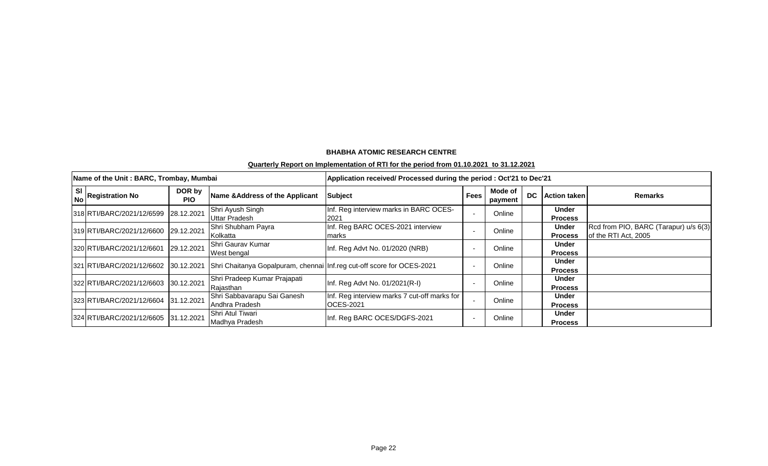|                   | Name of the Unit: BARC, Trombay, Mumbai |                      |                                                                                                             | Application received/ Processed during the period : Oct'21 to Dec'21 |             |                    |    |                                |                                                               |
|-------------------|-----------------------------------------|----------------------|-------------------------------------------------------------------------------------------------------------|----------------------------------------------------------------------|-------------|--------------------|----|--------------------------------|---------------------------------------------------------------|
| SI I<br><b>No</b> | <b>Registration No</b>                  | DOR by<br><b>PIO</b> | Name & Address of the Applicant                                                                             | <b>Subject</b>                                                       | <b>Fees</b> | Mode of<br>payment | DC | <b>Action taken</b>            | <b>Remarks</b>                                                |
|                   | 318 RTI/BARC/2021/12/6599 28.12.2021    |                      | Shri Ayush Singh<br><b>Uttar Pradesh</b>                                                                    | Inf. Reg interview marks in BARC OCES-<br>2021                       |             | Online             |    | <b>Under</b><br><b>Process</b> |                                                               |
|                   | 319 RTI/BARC/2021/12/6600 29.12.2021    |                      | Shri Shubham Payra<br>Kolkatta                                                                              | Inf. Reg BARC OCES-2021 interview<br>marks                           |             | Online             |    | <b>Under</b><br><b>Process</b> | Rcd from PIO, BARC (Tarapur) u/s 6(3)<br>of the RTI Act, 2005 |
|                   | 320 RTI/BARC/2021/12/6601               | 29.12.2021           | Shri Gaurav Kumar<br>West bengal                                                                            | Inf. Reg Advt No. 01/2020 (NRB)                                      |             | Online             |    | Under<br><b>Process</b>        |                                                               |
|                   |                                         |                      | 321 RTI/BARC/2021/12/6602 30.12.2021 Shri Chaitanya Gopalpuram, chennai Inf.reg cut-off score for OCES-2021 |                                                                      |             | Online             |    | Under<br><b>Process</b>        |                                                               |
|                   | 322 RTI/BARC/2021/12/6603 30.12.2021    |                      | Shri Pradeep Kumar Prajapati<br>Rajasthan                                                                   | Inf. Reg Advt No. 01/2021(R-I)                                       |             | Online             |    | <b>Under</b><br><b>Process</b> |                                                               |
|                   | 323 RTI/BARC/2021/12/6604 31.12.2021    |                      | Shri Sabbavarapu Sai Ganesh<br>Andhra Pradesh                                                               | Inf. Reg interview marks 7 cut-off marks for<br><b>OCES-2021</b>     |             | Online             |    | Under<br><b>Process</b>        |                                                               |
|                   | 324 RTI/BARC/2021/12/6605 31.12.2021    |                      | Shri Atul Tiwari<br>Madhya Pradesh                                                                          | Inf. Reg BARC OCES/DGFS-2021                                         |             | Online             |    | Under<br><b>Process</b>        |                                                               |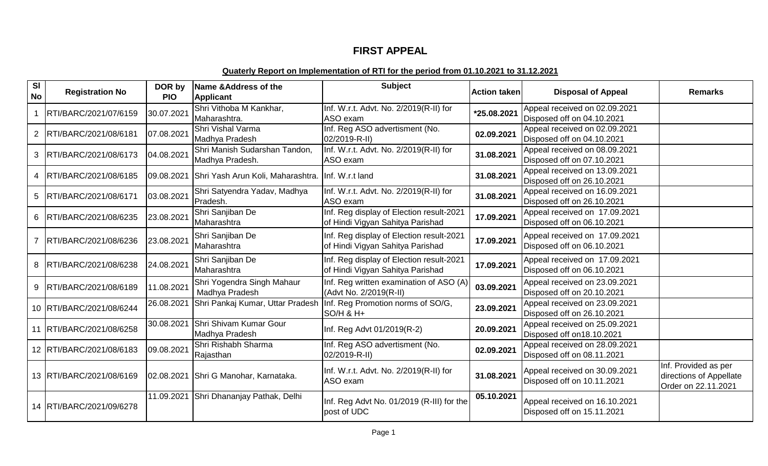# **FIRST APPEAL**

| <b>SI</b><br>No | <b>Registration No</b>     | DOR by<br><b>PIO</b> | Name & Address of the<br><b>Applicant</b>         | <b>Subject</b>                                                                    | <b>Action taken</b> | <b>Disposal of Appeal</b>                                   | <b>Remarks</b>                                                         |
|-----------------|----------------------------|----------------------|---------------------------------------------------|-----------------------------------------------------------------------------------|---------------------|-------------------------------------------------------------|------------------------------------------------------------------------|
|                 | RTI/BARC/2021/07/6159      | 30.07.202            | Shri Vithoba M Kankhar,<br>Maharashtra.           | Inf. W.r.t. Advt. No. 2/2019(R-II) for<br>ASO exam                                | *25.08.2021         | Appeal received on 02.09.2021<br>Disposed off on 04.10.2021 |                                                                        |
| $\overline{2}$  | RTI/BARC/2021/08/6181      | 07.08.2021           | Shri Vishal Varma<br>Madhya Pradesh               | Inf. Reg ASO advertisment (No.<br>02/2019-R-II)                                   | 02.09.2021          | Appeal received on 02.09.2021<br>Disposed off on 04.10.2021 |                                                                        |
| 3               | RTI/BARC/2021/08/6173      | 04.08.2021           | Shri Manish Sudarshan Tandon,<br>Madhya Pradesh.  | Inf. W.r.t. Advt. No. 2/2019(R-II) for<br>ASO exam                                | 31.08.2021          | Appeal received on 08.09.2021<br>Disposed off on 07.10.2021 |                                                                        |
| 4               | RTI/BARC/2021/08/6185      | 09.08.2021           | Shri Yash Arun Koli, Maharashtra. Inf. W.r.t land |                                                                                   | 31.08.2021          | Appeal received on 13.09.2021<br>Disposed off on 26.10.2021 |                                                                        |
| 5               | RTI/BARC/2021/08/6171      | 03.08.2021           | Shri Satyendra Yadav, Madhya<br>Pradesh.          | Inf. W.r.t. Advt. No. 2/2019(R-II) for<br>ASO exam                                | 31.08.2021          | Appeal received on 16.09.2021<br>Disposed off on 26.10.2021 |                                                                        |
| 6               | RTI/BARC/2021/08/6235      | 23.08.2021           | Shri Sanjiban De<br>Maharashtra                   | Inf. Reg display of Election result-2021<br>of Hindi Vigyan Sahitya Parishad      | 17.09.2021          | Appeal received on 17.09.2021<br>Disposed off on 06.10.2021 |                                                                        |
|                 | RTI/BARC/2021/08/6236      | 23.08.2021           | Shri Sanjiban De<br>Maharashtra                   | Inf. Reg display of Election result-2021<br>of Hindi Vigyan Sahitya Parishad      | 17.09.2021          | Appeal received on 17.09.2021<br>Disposed off on 06.10.2021 |                                                                        |
| 8               | RTI/BARC/2021/08/6238      | 24.08.2021           | Shri Sanjiban De<br>Maharashtra                   | Inf. Reg display of Election result-2021<br>of Hindi Vigyan Sahitya Parishad      | 17.09.2021          | Appeal received on 17.09.2021<br>Disposed off on 06.10.2021 |                                                                        |
| 9               | RTI/BARC/2021/08/6189      | 11.08.2021           | Shri Yogendra Singh Mahaur<br>Madhya Pradesh      | Inf. Reg written examination of ASO (A)<br>(Advt No. 2/2019(R-II)                 | 03.09.2021          | Appeal received on 23.09.2021<br>Disposed off on 20.10.2021 |                                                                        |
|                 | 10 RTI/BARC/2021/08/6244   | 26.08.2021           |                                                   | Shri Pankaj Kumar, Uttar Pradesh   Inf. Reg Promotion norms of SO/G,<br>SO/H & H+ | 23.09.2021          | Appeal received on 23.09.2021<br>Disposed off on 26.10.2021 |                                                                        |
|                 | 11   RTI/BARC/2021/08/6258 | 30.08.2021           | Shri Shivam Kumar Gour<br>Madhya Pradesh          | Inf. Reg Advt 01/2019(R-2)                                                        | 20.09.2021          | Appeal received on 25.09.2021<br>Disposed off on 18.10.2021 |                                                                        |
|                 | 12 RTI/BARC/2021/08/6183   | 09.08.2021           | Shri Rishabh Sharma<br>Rajasthan                  | Inf. Reg ASO advertisment (No.<br>02/2019-R-II)                                   | 02.09.2021          | Appeal received on 28.09.2021<br>Disposed off on 08.11.2021 |                                                                        |
|                 | 13   RTI/BARC/2021/08/6169 | 02.08.2021           | Shri G Manohar, Karnataka.                        | Inf. W.r.t. Advt. No. 2/2019(R-II) for<br>ASO exam                                | 31.08.2021          | Appeal received on 30.09.2021<br>Disposed off on 10.11.2021 | Inf. Provided as per<br>directions of Appellate<br>Order on 22.11.2021 |
|                 | 14 RTI/BARC/2021/09/6278   |                      | 11.09.2021 Shri Dhananjay Pathak, Delhi           | Inf. Reg Advt No. 01/2019 (R-III) for the<br>post of UDC                          | 05.10.2021          | Appeal received on 16.10.2021<br>Disposed off on 15.11.2021 |                                                                        |